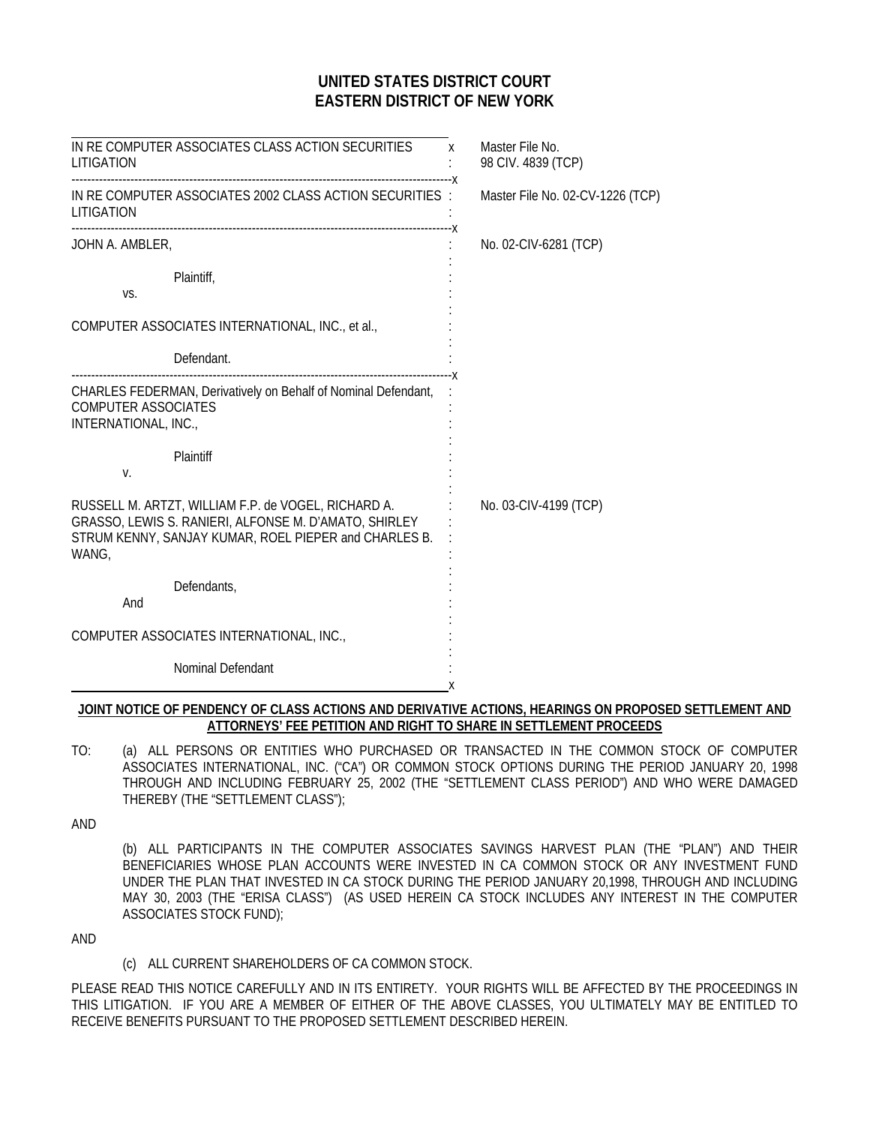# **UNITED STATES DISTRICT COURT EASTERN DISTRICT OF NEW YORK**

| IN RE COMPUTER ASSOCIATES CLASS ACTION SECURITIES x<br>LITIGATION                                                                                                              |   | Master File No.<br>98 CIV. 4839 (TCP) |
|--------------------------------------------------------------------------------------------------------------------------------------------------------------------------------|---|---------------------------------------|
| IN RE COMPUTER ASSOCIATES 2002 CLASS ACTION SECURITIES :<br>LITIGATION                                                                                                         |   | Master File No. 02-CV-1226 (TCP)      |
| JOHN A. AMBLER,                                                                                                                                                                |   | No. 02-CIV-6281 (TCP)                 |
| Plaintiff,<br>VS.                                                                                                                                                              |   |                                       |
| COMPUTER ASSOCIATES INTERNATIONAL, INC., et al.,                                                                                                                               |   |                                       |
| Defendant.                                                                                                                                                                     |   |                                       |
| CHARLES FEDERMAN, Derivatively on Behalf of Nominal Defendant,<br><b>COMPUTER ASSOCIATES</b><br>INTERNATIONAL, INC.,                                                           |   |                                       |
| Plaintiff<br>V.                                                                                                                                                                |   |                                       |
| RUSSELL M. ARTZT, WILLIAM F.P. de VOGEL, RICHARD A.<br>GRASSO, LEWIS S. RANIERI, ALFONSE M. D'AMATO, SHIRLEY<br>STRUM KENNY, SANJAY KUMAR, ROEL PIEPER and CHARLES B.<br>WANG, |   | No. 03-CIV-4199 (TCP)                 |
| Defendants,<br>And                                                                                                                                                             |   |                                       |
| COMPUTER ASSOCIATES INTERNATIONAL, INC.,                                                                                                                                       |   |                                       |
| Nominal Defendant                                                                                                                                                              | x |                                       |
|                                                                                                                                                                                |   |                                       |

### **JOINT NOTICE OF PENDENCY OF CLASS ACTIONS AND DERIVATIVE ACTIONS, HEARINGS ON PROPOSED SETTLEMENT AND ATTORNEYS' FEE PETITION AND RIGHT TO SHARE IN SETTLEMENT PROCEEDS**

TO: (a) ALL PERSONS OR ENTITIES WHO PURCHASED OR TRANSACTED IN THE COMMON STOCK OF COMPUTER ASSOCIATES INTERNATIONAL, INC. ("CA") OR COMMON STOCK OPTIONS DURING THE PERIOD JANUARY 20, 1998 THROUGH AND INCLUDING FEBRUARY 25, 2002 (THE "SETTLEMENT CLASS PERIOD") AND WHO WERE DAMAGED THEREBY (THE "SETTLEMENT CLASS");

AND

(b) ALL PARTICIPANTS IN THE COMPUTER ASSOCIATES SAVINGS HARVEST PLAN (THE "PLAN") AND THEIR BENEFICIARIES WHOSE PLAN ACCOUNTS WERE INVESTED IN CA COMMON STOCK OR ANY INVESTMENT FUND UNDER THE PLAN THAT INVESTED IN CA STOCK DURING THE PERIOD JANUARY 20,1998, THROUGH AND INCLUDING MAY 30, 2003 (THE "ERISA CLASS") (AS USED HEREIN CA STOCK INCLUDES ANY INTEREST IN THE COMPUTER ASSOCIATES STOCK FUND);

AND

(c) ALL CURRENT SHAREHOLDERS OF CA COMMON STOCK.

PLEASE READ THIS NOTICE CAREFULLY AND IN ITS ENTIRETY. YOUR RIGHTS WILL BE AFFECTED BY THE PROCEEDINGS IN THIS LITIGATION. IF YOU ARE A MEMBER OF EITHER OF THE ABOVE CLASSES, YOU ULTIMATELY MAY BE ENTITLED TO RECEIVE BENEFITS PURSUANT TO THE PROPOSED SETTLEMENT DESCRIBED HEREIN.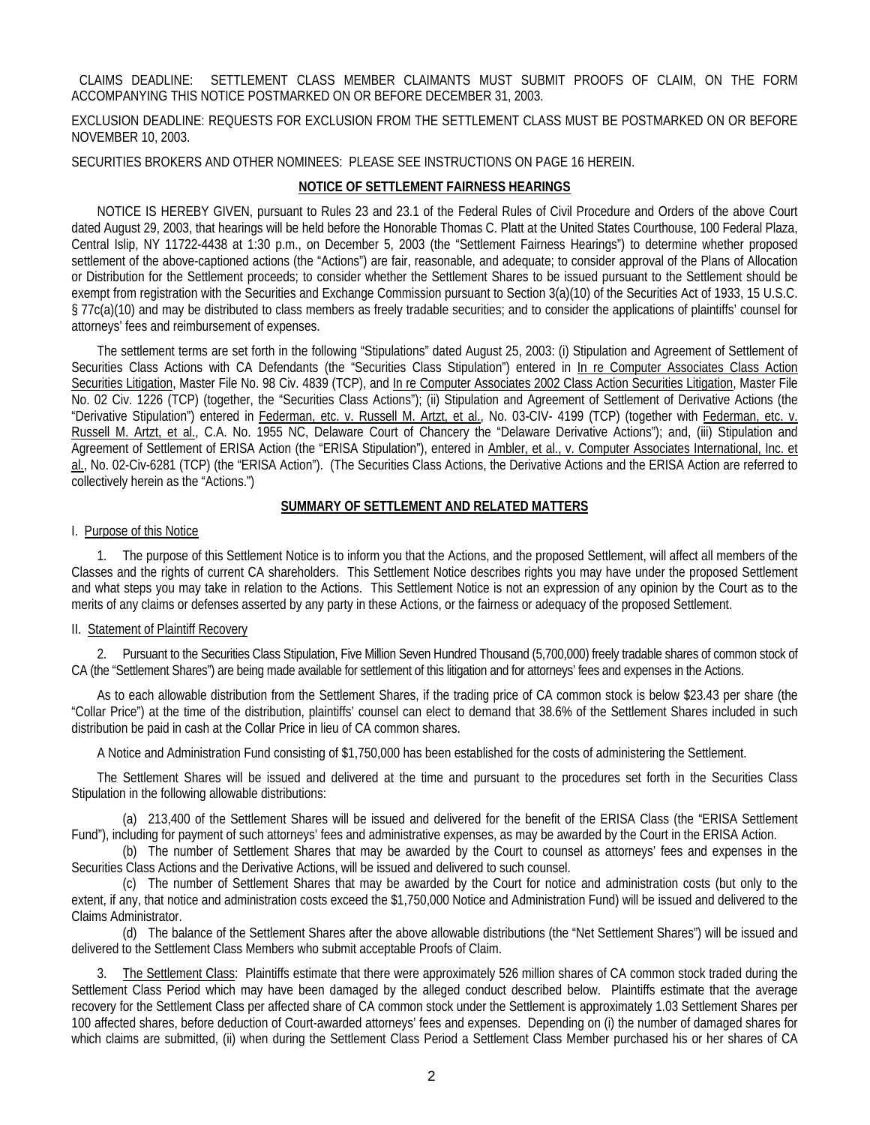### CLAIMS DEADLINE: SETTLEMENT CLASS MEMBER CLAIMANTS MUST SUBMIT PROOFS OF CLAIM, ON THE FORM ACCOMPANYING THIS NOTICE POSTMARKED ON OR BEFORE DECEMBER 31, 2003.

### EXCLUSION DEADLINE: REQUESTS FOR EXCLUSION FROM THE SETTLEMENT CLASS MUST BE POSTMARKED ON OR BEFORE NOVEMBER 10, 2003.

SECURITIES BROKERS AND OTHER NOMINEES: PLEASE SEE INSTRUCTIONS ON PAGE 16 HEREIN.

# **NOTICE OF SETTLEMENT FAIRNESS HEARINGS**

NOTICE IS HEREBY GIVEN, pursuant to Rules 23 and 23.1 of the Federal Rules of Civil Procedure and Orders of the above Court dated August 29, 2003, that hearings will be held before the Honorable Thomas C. Platt at the United States Courthouse, 100 Federal Plaza, Central Islip, NY 11722-4438 at 1:30 p.m., on December 5, 2003 (the "Settlement Fairness Hearings") to determine whether proposed settlement of the above-captioned actions (the "Actions") are fair, reasonable, and adequate; to consider approval of the Plans of Allocation or Distribution for the Settlement proceeds; to consider whether the Settlement Shares to be issued pursuant to the Settlement should be exempt from registration with the Securities and Exchange Commission pursuant to Section 3(a)(10) of the Securities Act of 1933, 15 U.S.C. § 77c(a)(10) and may be distributed to class members as freely tradable securities; and to consider the applications of plaintiffs' counsel for attorneys' fees and reimbursement of expenses.

The settlement terms are set forth in the following "Stipulations" dated August 25, 2003: (i) Stipulation and Agreement of Settlement of Securities Class Actions with CA Defendants (the "Securities Class Stipulation") entered in In re Computer Associates Class Action Securities Litigation, Master File No. 98 Civ. 4839 (TCP), and In re Computer Associates 2002 Class Action Securities Litigation, Master File No. 02 Civ. 1226 (TCP) (together, the "Securities Class Actions"); (ii) Stipulation and Agreement of Settlement of Derivative Actions (the "Derivative Stipulation") entered in Federman, etc. v. Russell M. Artzt, et al., No. 03-CIV- 4199 (TCP) (together with Federman, etc. v. Russell M. Artzt, et al., C.A. No. 1955 NC, Delaware Court of Chancery the "Delaware Derivative Actions"); and, (iii) Stipulation and Agreement of Settlement of ERISA Action (the "ERISA Stipulation"), entered in Ambler, et al., v. Computer Associates International, Inc. et al., No. 02-Civ-6281 (TCP) (the "ERISA Action"). (The Securities Class Actions, the Derivative Actions and the ERISA Action are referred to collectively herein as the "Actions.")

### **SUMMARY OF SETTLEMENT AND RELATED MATTERS**

### I. Purpose of this Notice

1. The purpose of this Settlement Notice is to inform you that the Actions, and the proposed Settlement, will affect all members of the Classes and the rights of current CA shareholders. This Settlement Notice describes rights you may have under the proposed Settlement and what steps you may take in relation to the Actions. This Settlement Notice is not an expression of any opinion by the Court as to the merits of any claims or defenses asserted by any party in these Actions, or the fairness or adequacy of the proposed Settlement.

### II. Statement of Plaintiff Recovery

2. Pursuant to the Securities Class Stipulation, Five Million Seven Hundred Thousand (5,700,000) freely tradable shares of common stock of CA (the "Settlement Shares") are being made available for settlement of this litigation and for attorneys' fees and expenses in the Actions.

As to each allowable distribution from the Settlement Shares, if the trading price of CA common stock is below \$23.43 per share (the "Collar Price") at the time of the distribution, plaintiffs' counsel can elect to demand that 38.6% of the Settlement Shares included in such distribution be paid in cash at the Collar Price in lieu of CA common shares.

A Notice and Administration Fund consisting of \$1,750,000 has been established for the costs of administering the Settlement.

The Settlement Shares will be issued and delivered at the time and pursuant to the procedures set forth in the Securities Class Stipulation in the following allowable distributions:

(a) 213,400 of the Settlement Shares will be issued and delivered for the benefit of the ERISA Class (the "ERISA Settlement Fund"), including for payment of such attorneys' fees and administrative expenses, as may be awarded by the Court in the ERISA Action.

(b) The number of Settlement Shares that may be awarded by the Court to counsel as attorneys' fees and expenses in the Securities Class Actions and the Derivative Actions, will be issued and delivered to such counsel.

(c) The number of Settlement Shares that may be awarded by the Court for notice and administration costs (but only to the extent, if any, that notice and administration costs exceed the \$1,750,000 Notice and Administration Fund) will be issued and delivered to the Claims Administrator.

(d) The balance of the Settlement Shares after the above allowable distributions (the "Net Settlement Shares") will be issued and delivered to the Settlement Class Members who submit acceptable Proofs of Claim.

3. The Settlement Class: Plaintiffs estimate that there were approximately 526 million shares of CA common stock traded during the Settlement Class Period which may have been damaged by the alleged conduct described below. Plaintiffs estimate that the average recovery for the Settlement Class per affected share of CA common stock under the Settlement is approximately 1.03 Settlement Shares per 100 affected shares, before deduction of Court-awarded attorneys' fees and expenses. Depending on (i) the number of damaged shares for which claims are submitted, (ii) when during the Settlement Class Period a Settlement Class Member purchased his or her shares of CA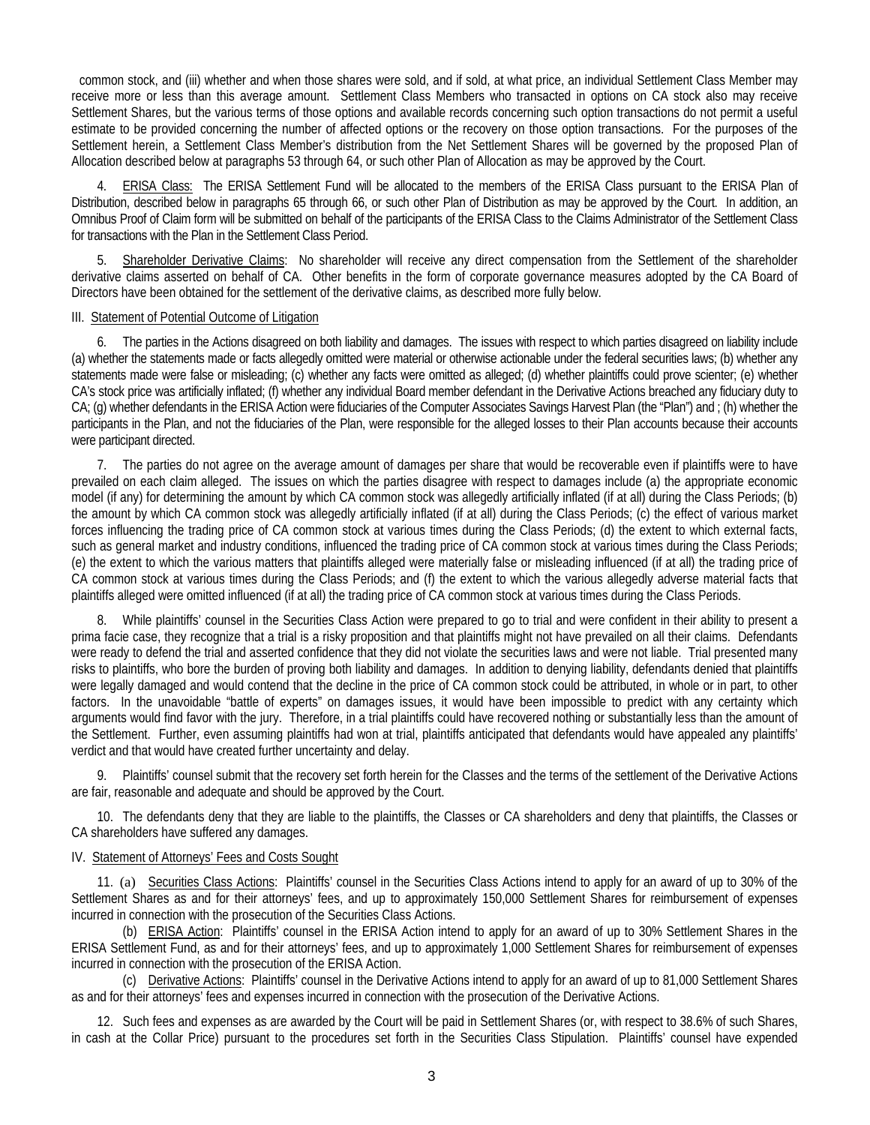common stock, and (iii) whether and when those shares were sold, and if sold, at what price, an individual Settlement Class Member may receive more or less than this average amount. Settlement Class Members who transacted in options on CA stock also may receive Settlement Shares, but the various terms of those options and available records concerning such option transactions do not permit a useful estimate to be provided concerning the number of affected options or the recovery on those option transactions. For the purposes of the Settlement herein, a Settlement Class Member's distribution from the Net Settlement Shares will be governed by the proposed Plan of Allocation described below at paragraphs 53 through 64, or such other Plan of Allocation as may be approved by the Court.

4. ERISA Class: The ERISA Settlement Fund will be allocated to the members of the ERISA Class pursuant to the ERISA Plan of Distribution, described below in paragraphs 65 through 66, or such other Plan of Distribution as may be approved by the Court. In addition, an Omnibus Proof of Claim form will be submitted on behalf of the participants of the ERISA Class to the Claims Administrator of the Settlement Class for transactions with the Plan in the Settlement Class Period.

5. Shareholder Derivative Claims: No shareholder will receive any direct compensation from the Settlement of the shareholder derivative claims asserted on behalf of CA. Other benefits in the form of corporate governance measures adopted by the CA Board of Directors have been obtained for the settlement of the derivative claims, as described more fully below.

#### III. Statement of Potential Outcome of Litigation

6. The parties in the Actions disagreed on both liability and damages. The issues with respect to which parties disagreed on liability include (a) whether the statements made or facts allegedly omitted were material or otherwise actionable under the federal securities laws; (b) whether any statements made were false or misleading; (c) whether any facts were omitted as alleged; (d) whether plaintiffs could prove scienter; (e) whether CA's stock price was artificially inflated; (f) whether any individual Board member defendant in the Derivative Actions breached any fiduciary duty to CA; (g) whether defendants in the ERISA Action were fiduciaries of the Computer Associates Savings Harvest Plan (the "Plan") and ; (h) whether the participants in the Plan, and not the fiduciaries of the Plan, were responsible for the alleged losses to their Plan accounts because their accounts were participant directed.

7. The parties do not agree on the average amount of damages per share that would be recoverable even if plaintiffs were to have prevailed on each claim alleged. The issues on which the parties disagree with respect to damages include (a) the appropriate economic model (if any) for determining the amount by which CA common stock was allegedly artificially inflated (if at all) during the Class Periods; (b) the amount by which CA common stock was allegedly artificially inflated (if at all) during the Class Periods; (c) the effect of various market forces influencing the trading price of CA common stock at various times during the Class Periods; (d) the extent to which external facts, such as general market and industry conditions, influenced the trading price of CA common stock at various times during the Class Periods; (e) the extent to which the various matters that plaintiffs alleged were materially false or misleading influenced (if at all) the trading price of CA common stock at various times during the Class Periods; and (f) the extent to which the various allegedly adverse material facts that plaintiffs alleged were omitted influenced (if at all) the trading price of CA common stock at various times during the Class Periods.

8. While plaintiffs' counsel in the Securities Class Action were prepared to go to trial and were confident in their ability to present a prima facie case, they recognize that a trial is a risky proposition and that plaintiffs might not have prevailed on all their claims. Defendants were ready to defend the trial and asserted confidence that they did not violate the securities laws and were not liable. Trial presented many risks to plaintiffs, who bore the burden of proving both liability and damages. In addition to denying liability, defendants denied that plaintiffs were legally damaged and would contend that the decline in the price of CA common stock could be attributed, in whole or in part, to other factors. In the unavoidable "battle of experts" on damages issues, it would have been impossible to predict with any certainty which arguments would find favor with the jury. Therefore, in a trial plaintiffs could have recovered nothing or substantially less than the amount of the Settlement. Further, even assuming plaintiffs had won at trial, plaintiffs anticipated that defendants would have appealed any plaintiffs' verdict and that would have created further uncertainty and delay.

9. Plaintiffs' counsel submit that the recovery set forth herein for the Classes and the terms of the settlement of the Derivative Actions are fair, reasonable and adequate and should be approved by the Court.

10. The defendants deny that they are liable to the plaintiffs, the Classes or CA shareholders and deny that plaintiffs, the Classes or CA shareholders have suffered any damages.

### IV. Statement of Attorneys' Fees and Costs Sought

11. (a) Securities Class Actions: Plaintiffs' counsel in the Securities Class Actions intend to apply for an award of up to 30% of the Settlement Shares as and for their attorneys' fees, and up to approximately 150,000 Settlement Shares for reimbursement of expenses incurred in connection with the prosecution of the Securities Class Actions.

(b) ERISA Action: Plaintiffs' counsel in the ERISA Action intend to apply for an award of up to 30% Settlement Shares in the ERISA Settlement Fund, as and for their attorneys' fees, and up to approximately 1,000 Settlement Shares for reimbursement of expenses incurred in connection with the prosecution of the ERISA Action.

(c) Derivative Actions: Plaintiffs' counsel in the Derivative Actions intend to apply for an award of up to 81,000 Settlement Shares as and for their attorneys' fees and expenses incurred in connection with the prosecution of the Derivative Actions.

12. Such fees and expenses as are awarded by the Court will be paid in Settlement Shares (or, with respect to 38.6% of such Shares, in cash at the Collar Price) pursuant to the procedures set forth in the Securities Class Stipulation. Plaintiffs' counsel have expended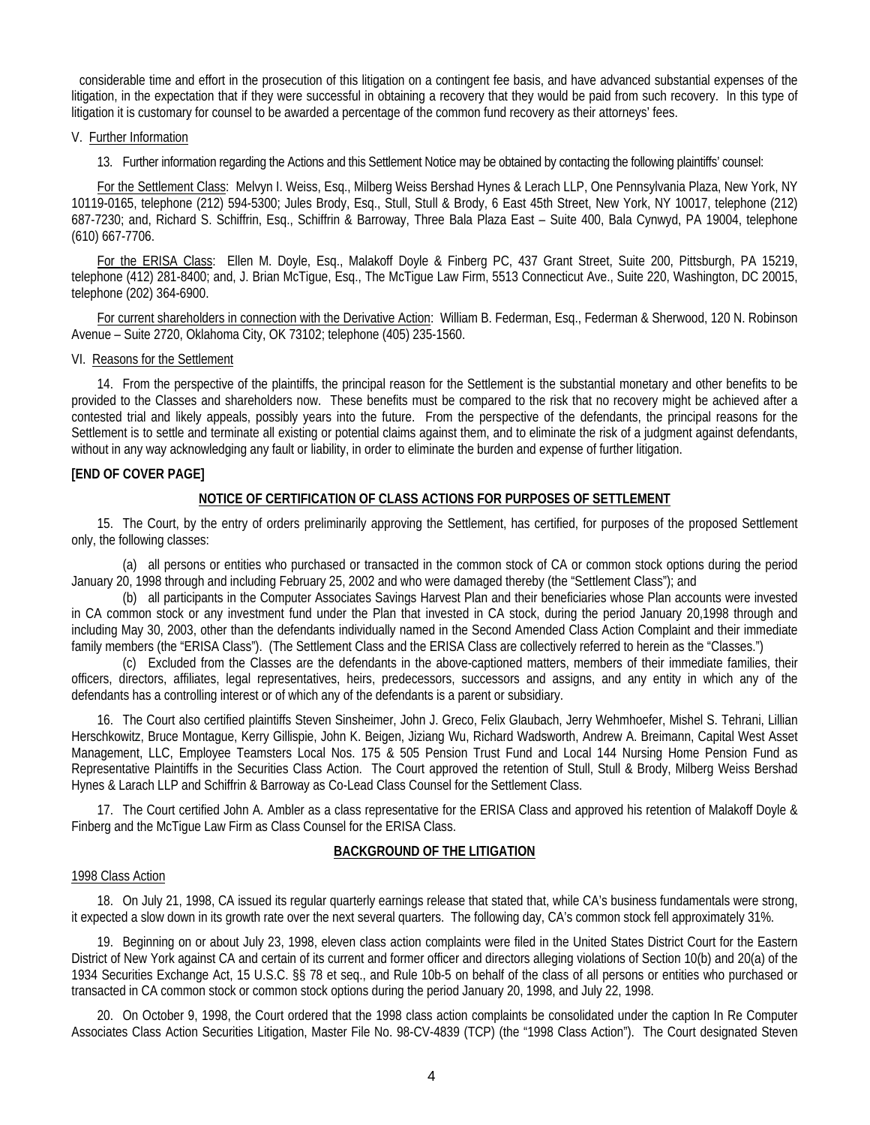considerable time and effort in the prosecution of this litigation on a contingent fee basis, and have advanced substantial expenses of the litigation, in the expectation that if they were successful in obtaining a recovery that they would be paid from such recovery. In this type of litigation it is customary for counsel to be awarded a percentage of the common fund recovery as their attorneys' fees.

#### V. Further Information

13. Further information regarding the Actions and this Settlement Notice may be obtained by contacting the following plaintiffs' counsel:

For the Settlement Class: Melvyn I. Weiss, Esq., Milberg Weiss Bershad Hynes & Lerach LLP, One Pennsylvania Plaza, New York, NY 10119-0165, telephone (212) 594-5300; Jules Brody, Esq., Stull, Stull & Brody, 6 East 45th Street, New York, NY 10017, telephone (212) 687-7230; and, Richard S. Schiffrin, Esq., Schiffrin & Barroway, Three Bala Plaza East – Suite 400, Bala Cynwyd, PA 19004, telephone (610) 667-7706.

For the ERISA Class: Ellen M. Doyle, Esq., Malakoff Doyle & Finberg PC, 437 Grant Street, Suite 200, Pittsburgh, PA 15219, telephone (412) 281-8400; and, J. Brian McTigue, Esq., The McTigue Law Firm, 5513 Connecticut Ave., Suite 220, Washington, DC 20015, telephone (202) 364-6900.

For current shareholders in connection with the Derivative Action: William B. Federman, Esq., Federman & Sherwood, 120 N. Robinson Avenue – Suite 2720, Oklahoma City, OK 73102; telephone (405) 235-1560.

#### VI. Reasons for the Settlement

14. From the perspective of the plaintiffs, the principal reason for the Settlement is the substantial monetary and other benefits to be provided to the Classes and shareholders now. These benefits must be compared to the risk that no recovery might be achieved after a contested trial and likely appeals, possibly years into the future. From the perspective of the defendants, the principal reasons for the Settlement is to settle and terminate all existing or potential claims against them, and to eliminate the risk of a judgment against defendants, without in any way acknowledging any fault or liability, in order to eliminate the burden and expense of further litigation.

#### **[END OF COVER PAGE]**

### **NOTICE OF CERTIFICATION OF CLASS ACTIONS FOR PURPOSES OF SETTLEMENT**

15. The Court, by the entry of orders preliminarily approving the Settlement, has certified, for purposes of the proposed Settlement only, the following classes:

(a) all persons or entities who purchased or transacted in the common stock of CA or common stock options during the period January 20, 1998 through and including February 25, 2002 and who were damaged thereby (the "Settlement Class"); and

(b) all participants in the Computer Associates Savings Harvest Plan and their beneficiaries whose Plan accounts were invested in CA common stock or any investment fund under the Plan that invested in CA stock, during the period January 20,1998 through and including May 30, 2003, other than the defendants individually named in the Second Amended Class Action Complaint and their immediate family members (the "ERISA Class"). (The Settlement Class and the ERISA Class are collectively referred to herein as the "Classes.")

(c) Excluded from the Classes are the defendants in the above-captioned matters, members of their immediate families, their officers, directors, affiliates, legal representatives, heirs, predecessors, successors and assigns, and any entity in which any of the defendants has a controlling interest or of which any of the defendants is a parent or subsidiary.

16. The Court also certified plaintiffs Steven Sinsheimer, John J. Greco, Felix Glaubach, Jerry Wehmhoefer, Mishel S. Tehrani, Lillian Herschkowitz, Bruce Montague, Kerry Gillispie, John K. Beigen, Jiziang Wu, Richard Wadsworth, Andrew A. Breimann, Capital West Asset Management, LLC, Employee Teamsters Local Nos. 175 & 505 Pension Trust Fund and Local 144 Nursing Home Pension Fund as Representative Plaintiffs in the Securities Class Action. The Court approved the retention of Stull, Stull & Brody, Milberg Weiss Bershad Hynes & Larach LLP and Schiffrin & Barroway as Co-Lead Class Counsel for the Settlement Class.

17. The Court certified John A. Ambler as a class representative for the ERISA Class and approved his retention of Malakoff Doyle & Finberg and the McTigue Law Firm as Class Counsel for the ERISA Class.

### **BACKGROUND OF THE LITIGATION**

#### 1998 Class Action

18. On July 21, 1998, CA issued its regular quarterly earnings release that stated that, while CA's business fundamentals were strong, it expected a slow down in its growth rate over the next several quarters. The following day, CA's common stock fell approximately 31%.

19. Beginning on or about July 23, 1998, eleven class action complaints were filed in the United States District Court for the Eastern District of New York against CA and certain of its current and former officer and directors alleging violations of Section 10(b) and 20(a) of the 1934 Securities Exchange Act, 15 U.S.C. §§ 78 et seq., and Rule 10b-5 on behalf of the class of all persons or entities who purchased or transacted in CA common stock or common stock options during the period January 20, 1998, and July 22, 1998.

20. On October 9, 1998, the Court ordered that the 1998 class action complaints be consolidated under the caption In Re Computer Associates Class Action Securities Litigation, Master File No. 98-CV-4839 (TCP) (the "1998 Class Action"). The Court designated Steven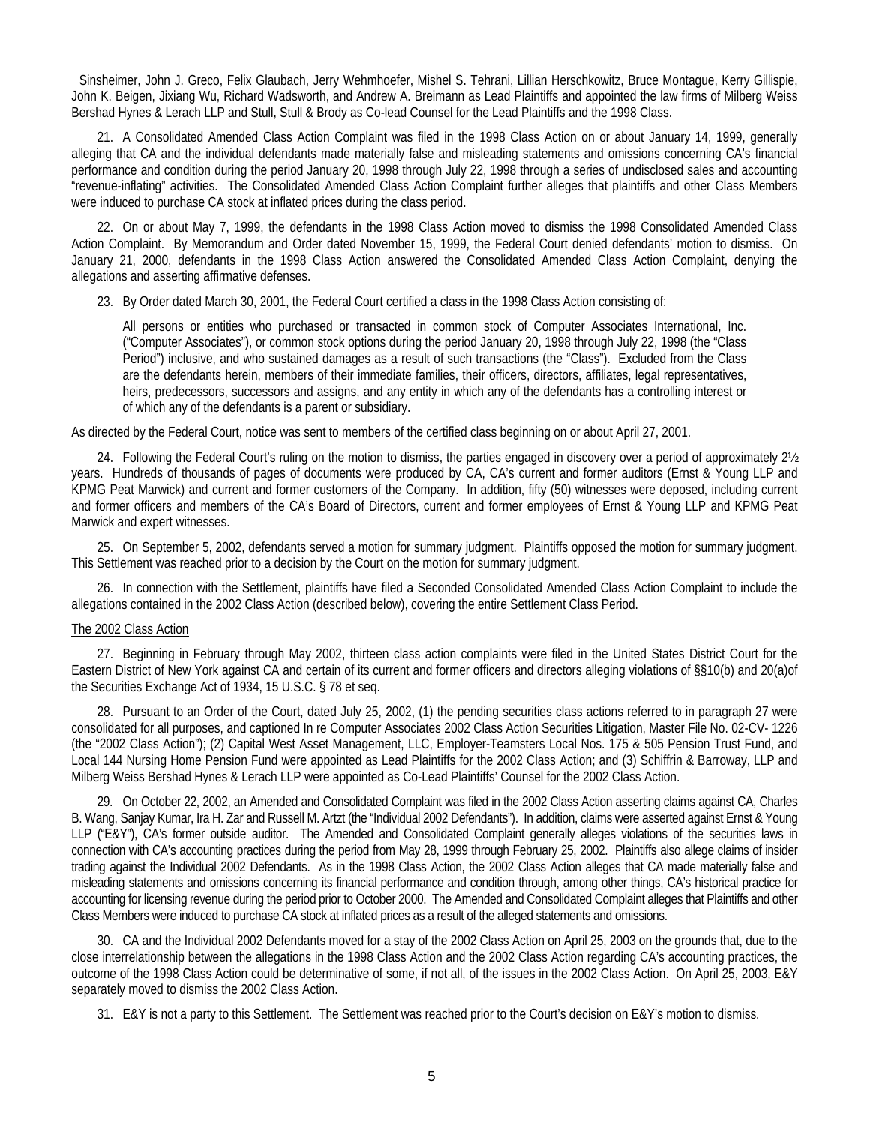Sinsheimer, John J. Greco, Felix Glaubach, Jerry Wehmhoefer, Mishel S. Tehrani, Lillian Herschkowitz, Bruce Montague, Kerry Gillispie, John K. Beigen, Jixiang Wu, Richard Wadsworth, and Andrew A. Breimann as Lead Plaintiffs and appointed the law firms of Milberg Weiss Bershad Hynes & Lerach LLP and Stull, Stull & Brody as Co-lead Counsel for the Lead Plaintiffs and the 1998 Class.

21. A Consolidated Amended Class Action Complaint was filed in the 1998 Class Action on or about January 14, 1999, generally alleging that CA and the individual defendants made materially false and misleading statements and omissions concerning CA's financial performance and condition during the period January 20, 1998 through July 22, 1998 through a series of undisclosed sales and accounting "revenue-inflating" activities. The Consolidated Amended Class Action Complaint further alleges that plaintiffs and other Class Members were induced to purchase CA stock at inflated prices during the class period.

22. On or about May 7, 1999, the defendants in the 1998 Class Action moved to dismiss the 1998 Consolidated Amended Class Action Complaint. By Memorandum and Order dated November 15, 1999, the Federal Court denied defendants' motion to dismiss. On January 21, 2000, defendants in the 1998 Class Action answered the Consolidated Amended Class Action Complaint, denying the allegations and asserting affirmative defenses.

23. By Order dated March 30, 2001, the Federal Court certified a class in the 1998 Class Action consisting of:

All persons or entities who purchased or transacted in common stock of Computer Associates International, Inc. ("Computer Associates"), or common stock options during the period January 20, 1998 through July 22, 1998 (the "Class Period") inclusive, and who sustained damages as a result of such transactions (the "Class"). Excluded from the Class are the defendants herein, members of their immediate families, their officers, directors, affiliates, legal representatives, heirs, predecessors, successors and assigns, and any entity in which any of the defendants has a controlling interest or of which any of the defendants is a parent or subsidiary.

As directed by the Federal Court, notice was sent to members of the certified class beginning on or about April 27, 2001.

24. Following the Federal Court's ruling on the motion to dismiss, the parties engaged in discovery over a period of approximately 2½ years. Hundreds of thousands of pages of documents were produced by CA, CA's current and former auditors (Ernst & Young LLP and KPMG Peat Marwick) and current and former customers of the Company. In addition, fifty (50) witnesses were deposed, including current and former officers and members of the CA's Board of Directors, current and former employees of Ernst & Young LLP and KPMG Peat Marwick and expert witnesses.

25. On September 5, 2002, defendants served a motion for summary judgment. Plaintiffs opposed the motion for summary judgment. This Settlement was reached prior to a decision by the Court on the motion for summary judgment.

26. In connection with the Settlement, plaintiffs have filed a Seconded Consolidated Amended Class Action Complaint to include the allegations contained in the 2002 Class Action (described below), covering the entire Settlement Class Period.

### The 2002 Class Action

27. Beginning in February through May 2002, thirteen class action complaints were filed in the United States District Court for the Eastern District of New York against CA and certain of its current and former officers and directors alleging violations of §§10(b) and 20(a)of the Securities Exchange Act of 1934, 15 U.S.C. § 78 et seq.

28. Pursuant to an Order of the Court, dated July 25, 2002, (1) the pending securities class actions referred to in paragraph 27 were consolidated for all purposes, and captioned In re Computer Associates 2002 Class Action Securities Litigation, Master File No. 02-CV- 1226 (the "2002 Class Action"); (2) Capital West Asset Management, LLC, Employer-Teamsters Local Nos. 175 & 505 Pension Trust Fund, and Local 144 Nursing Home Pension Fund were appointed as Lead Plaintiffs for the 2002 Class Action; and (3) Schiffrin & Barroway, LLP and Milberg Weiss Bershad Hynes & Lerach LLP were appointed as Co-Lead Plaintiffs' Counsel for the 2002 Class Action.

29. On October 22, 2002, an Amended and Consolidated Complaint was filed in the 2002 Class Action asserting claims against CA, Charles B. Wang, Sanjay Kumar, Ira H. Zar and Russell M. Artzt (the "Individual 2002 Defendants"). In addition, claims were asserted against Ernst & Young LLP ("E&Y"), CA's former outside auditor. The Amended and Consolidated Complaint generally alleges violations of the securities laws in connection with CA's accounting practices during the period from May 28, 1999 through February 25, 2002. Plaintiffs also allege claims of insider trading against the Individual 2002 Defendants. As in the 1998 Class Action, the 2002 Class Action alleges that CA made materially false and misleading statements and omissions concerning its financial performance and condition through, among other things, CA's historical practice for accounting for licensing revenue during the period prior to October 2000. The Amended and Consolidated Complaint alleges that Plaintiffs and other Class Members were induced to purchase CA stock at inflated prices as a result of the alleged statements and omissions.

30. CA and the Individual 2002 Defendants moved for a stay of the 2002 Class Action on April 25, 2003 on the grounds that, due to the close interrelationship between the allegations in the 1998 Class Action and the 2002 Class Action regarding CA's accounting practices, the outcome of the 1998 Class Action could be determinative of some, if not all, of the issues in the 2002 Class Action. On April 25, 2003, E&Y separately moved to dismiss the 2002 Class Action.

31. E&Y is not a party to this Settlement. The Settlement was reached prior to the Court's decision on E&Y's motion to dismiss.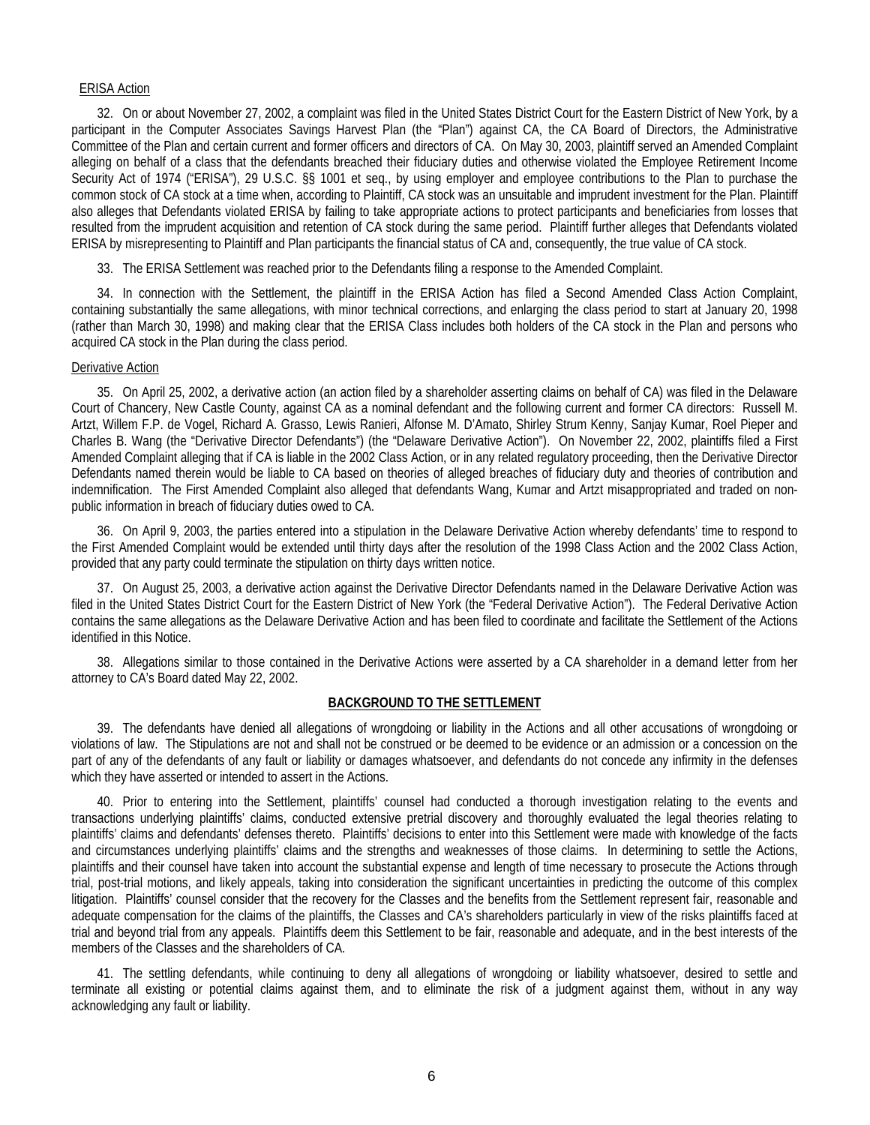#### ERISA Action

32. On or about November 27, 2002, a complaint was filed in the United States District Court for the Eastern District of New York, by a participant in the Computer Associates Savings Harvest Plan (the "Plan") against CA, the CA Board of Directors, the Administrative Committee of the Plan and certain current and former officers and directors of CA. On May 30, 2003, plaintiff served an Amended Complaint alleging on behalf of a class that the defendants breached their fiduciary duties and otherwise violated the Employee Retirement Income Security Act of 1974 ("ERISA"), 29 U.S.C. §§ 1001 et seq., by using employer and employee contributions to the Plan to purchase the common stock of CA stock at a time when, according to Plaintiff, CA stock was an unsuitable and imprudent investment for the Plan. Plaintiff also alleges that Defendants violated ERISA by failing to take appropriate actions to protect participants and beneficiaries from losses that resulted from the imprudent acquisition and retention of CA stock during the same period. Plaintiff further alleges that Defendants violated ERISA by misrepresenting to Plaintiff and Plan participants the financial status of CA and, consequently, the true value of CA stock.

33. The ERISA Settlement was reached prior to the Defendants filing a response to the Amended Complaint.

34. In connection with the Settlement, the plaintiff in the ERISA Action has filed a Second Amended Class Action Complaint, containing substantially the same allegations, with minor technical corrections, and enlarging the class period to start at January 20, 1998 (rather than March 30, 1998) and making clear that the ERISA Class includes both holders of the CA stock in the Plan and persons who acquired CA stock in the Plan during the class period.

#### Derivative Action

35. On April 25, 2002, a derivative action (an action filed by a shareholder asserting claims on behalf of CA) was filed in the Delaware Court of Chancery, New Castle County, against CA as a nominal defendant and the following current and former CA directors: Russell M. Artzt, Willem F.P. de Vogel, Richard A. Grasso, Lewis Ranieri, Alfonse M. D'Amato, Shirley Strum Kenny, Sanjay Kumar, Roel Pieper and Charles B. Wang (the "Derivative Director Defendants") (the "Delaware Derivative Action"). On November 22, 2002, plaintiffs filed a First Amended Complaint alleging that if CA is liable in the 2002 Class Action, or in any related regulatory proceeding, then the Derivative Director Defendants named therein would be liable to CA based on theories of alleged breaches of fiduciary duty and theories of contribution and indemnification. The First Amended Complaint also alleged that defendants Wang, Kumar and Artzt misappropriated and traded on nonpublic information in breach of fiduciary duties owed to CA.

36. On April 9, 2003, the parties entered into a stipulation in the Delaware Derivative Action whereby defendants' time to respond to the First Amended Complaint would be extended until thirty days after the resolution of the 1998 Class Action and the 2002 Class Action, provided that any party could terminate the stipulation on thirty days written notice.

37. On August 25, 2003, a derivative action against the Derivative Director Defendants named in the Delaware Derivative Action was filed in the United States District Court for the Eastern District of New York (the "Federal Derivative Action"). The Federal Derivative Action contains the same allegations as the Delaware Derivative Action and has been filed to coordinate and facilitate the Settlement of the Actions identified in this Notice.

38. Allegations similar to those contained in the Derivative Actions were asserted by a CA shareholder in a demand letter from her attorney to CA's Board dated May 22, 2002.

#### **BACKGROUND TO THE SETTLEMENT**

39. The defendants have denied all allegations of wrongdoing or liability in the Actions and all other accusations of wrongdoing or violations of law. The Stipulations are not and shall not be construed or be deemed to be evidence or an admission or a concession on the part of any of the defendants of any fault or liability or damages whatsoever, and defendants do not concede any infirmity in the defenses which they have asserted or intended to assert in the Actions.

40. Prior to entering into the Settlement, plaintiffs' counsel had conducted a thorough investigation relating to the events and transactions underlying plaintiffs' claims, conducted extensive pretrial discovery and thoroughly evaluated the legal theories relating to plaintiffs' claims and defendants' defenses thereto. Plaintiffs' decisions to enter into this Settlement were made with knowledge of the facts and circumstances underlying plaintiffs' claims and the strengths and weaknesses of those claims. In determining to settle the Actions, plaintiffs and their counsel have taken into account the substantial expense and length of time necessary to prosecute the Actions through trial, post-trial motions, and likely appeals, taking into consideration the significant uncertainties in predicting the outcome of this complex litigation. Plaintiffs' counsel consider that the recovery for the Classes and the benefits from the Settlement represent fair, reasonable and adequate compensation for the claims of the plaintiffs, the Classes and CA's shareholders particularly in view of the risks plaintiffs faced at trial and beyond trial from any appeals. Plaintiffs deem this Settlement to be fair, reasonable and adequate, and in the best interests of the members of the Classes and the shareholders of CA.

41. The settling defendants, while continuing to deny all allegations of wrongdoing or liability whatsoever, desired to settle and terminate all existing or potential claims against them, and to eliminate the risk of a judgment against them, without in any way acknowledging any fault or liability.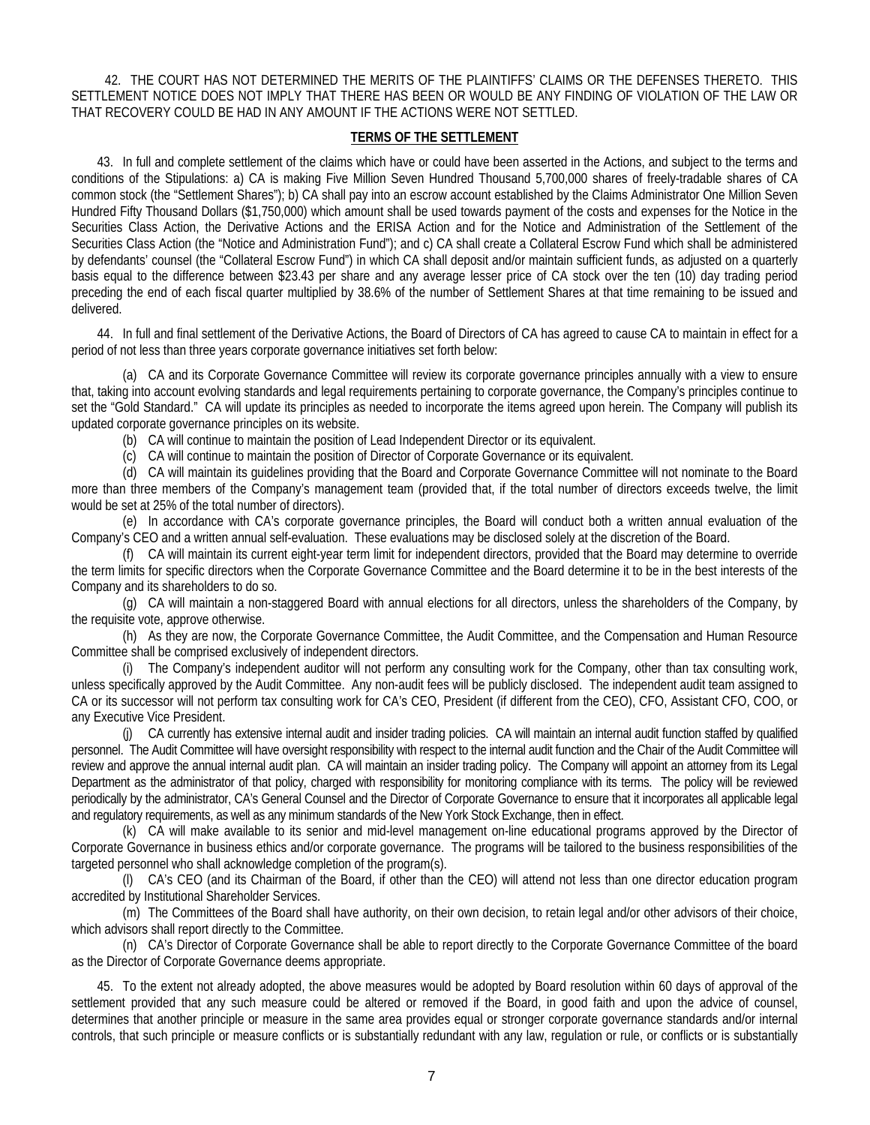42. THE COURT HAS NOT DETERMINED THE MERITS OF THE PLAINTIFFS' CLAIMS OR THE DEFENSES THERETO. THIS SETTLEMENT NOTICE DOES NOT IMPLY THAT THERE HAS BEEN OR WOULD BE ANY FINDING OF VIOLATION OF THE LAW OR THAT RECOVERY COULD BE HAD IN ANY AMOUNT IF THE ACTIONS WERE NOT SETTLED.

### **TERMS OF THE SETTLEMENT**

43. In full and complete settlement of the claims which have or could have been asserted in the Actions, and subject to the terms and conditions of the Stipulations: a) CA is making Five Million Seven Hundred Thousand 5,700,000 shares of freely-tradable shares of CA common stock (the "Settlement Shares"); b) CA shall pay into an escrow account established by the Claims Administrator One Million Seven Hundred Fifty Thousand Dollars (\$1,750,000) which amount shall be used towards payment of the costs and expenses for the Notice in the Securities Class Action, the Derivative Actions and the ERISA Action and for the Notice and Administration of the Settlement of the Securities Class Action (the "Notice and Administration Fund"); and c) CA shall create a Collateral Escrow Fund which shall be administered by defendants' counsel (the "Collateral Escrow Fund") in which CA shall deposit and/or maintain sufficient funds, as adjusted on a quarterly basis equal to the difference between \$23.43 per share and any average lesser price of CA stock over the ten (10) day trading period preceding the end of each fiscal quarter multiplied by 38.6% of the number of Settlement Shares at that time remaining to be issued and delivered.

44. In full and final settlement of the Derivative Actions, the Board of Directors of CA has agreed to cause CA to maintain in effect for a period of not less than three years corporate governance initiatives set forth below:

(a) CA and its Corporate Governance Committee will review its corporate governance principles annually with a view to ensure that, taking into account evolving standards and legal requirements pertaining to corporate governance, the Company's principles continue to set the "Gold Standard." CA will update its principles as needed to incorporate the items agreed upon herein. The Company will publish its updated corporate governance principles on its website.

(b) CA will continue to maintain the position of Lead Independent Director or its equivalent.

(c) CA will continue to maintain the position of Director of Corporate Governance or its equivalent.

(d) CA will maintain its guidelines providing that the Board and Corporate Governance Committee will not nominate to the Board more than three members of the Company's management team (provided that, if the total number of directors exceeds twelve, the limit would be set at 25% of the total number of directors).

(e) In accordance with CA's corporate governance principles, the Board will conduct both a written annual evaluation of the Company's CEO and a written annual self-evaluation. These evaluations may be disclosed solely at the discretion of the Board.

(f) CA will maintain its current eight-year term limit for independent directors, provided that the Board may determine to override the term limits for specific directors when the Corporate Governance Committee and the Board determine it to be in the best interests of the Company and its shareholders to do so.

(g) CA will maintain a non-staggered Board with annual elections for all directors, unless the shareholders of the Company, by the requisite vote, approve otherwise.

(h) As they are now, the Corporate Governance Committee, the Audit Committee, and the Compensation and Human Resource Committee shall be comprised exclusively of independent directors.

(i) The Company's independent auditor will not perform any consulting work for the Company, other than tax consulting work, unless specifically approved by the Audit Committee. Any non-audit fees will be publicly disclosed. The independent audit team assigned to CA or its successor will not perform tax consulting work for CA's CEO, President (if different from the CEO), CFO, Assistant CFO, COO, or any Executive Vice President.

(j) CA currently has extensive internal audit and insider trading policies. CA will maintain an internal audit function staffed by qualified personnel. The Audit Committee will have oversight responsibility with respect to the internal audit function and the Chair of the Audit Committee will review and approve the annual internal audit plan. CA will maintain an insider trading policy. The Company will appoint an attorney from its Legal Department as the administrator of that policy, charged with responsibility for monitoring compliance with its terms. The policy will be reviewed periodically by the administrator, CA's General Counsel and the Director of Corporate Governance to ensure that it incorporates all applicable legal and regulatory requirements, as well as any minimum standards of the New York Stock Exchange, then in effect.

(k) CA will make available to its senior and mid-level management on-line educational programs approved by the Director of Corporate Governance in business ethics and/or corporate governance. The programs will be tailored to the business responsibilities of the targeted personnel who shall acknowledge completion of the program(s).

(l) CA's CEO (and its Chairman of the Board, if other than the CEO) will attend not less than one director education program accredited by Institutional Shareholder Services.

(m) The Committees of the Board shall have authority, on their own decision, to retain legal and/or other advisors of their choice, which advisors shall report directly to the Committee.

(n) CA's Director of Corporate Governance shall be able to report directly to the Corporate Governance Committee of the board as the Director of Corporate Governance deems appropriate.

45. To the extent not already adopted, the above measures would be adopted by Board resolution within 60 days of approval of the settlement provided that any such measure could be altered or removed if the Board, in good faith and upon the advice of counsel, determines that another principle or measure in the same area provides equal or stronger corporate governance standards and/or internal controls, that such principle or measure conflicts or is substantially redundant with any law, regulation or rule, or conflicts or is substantially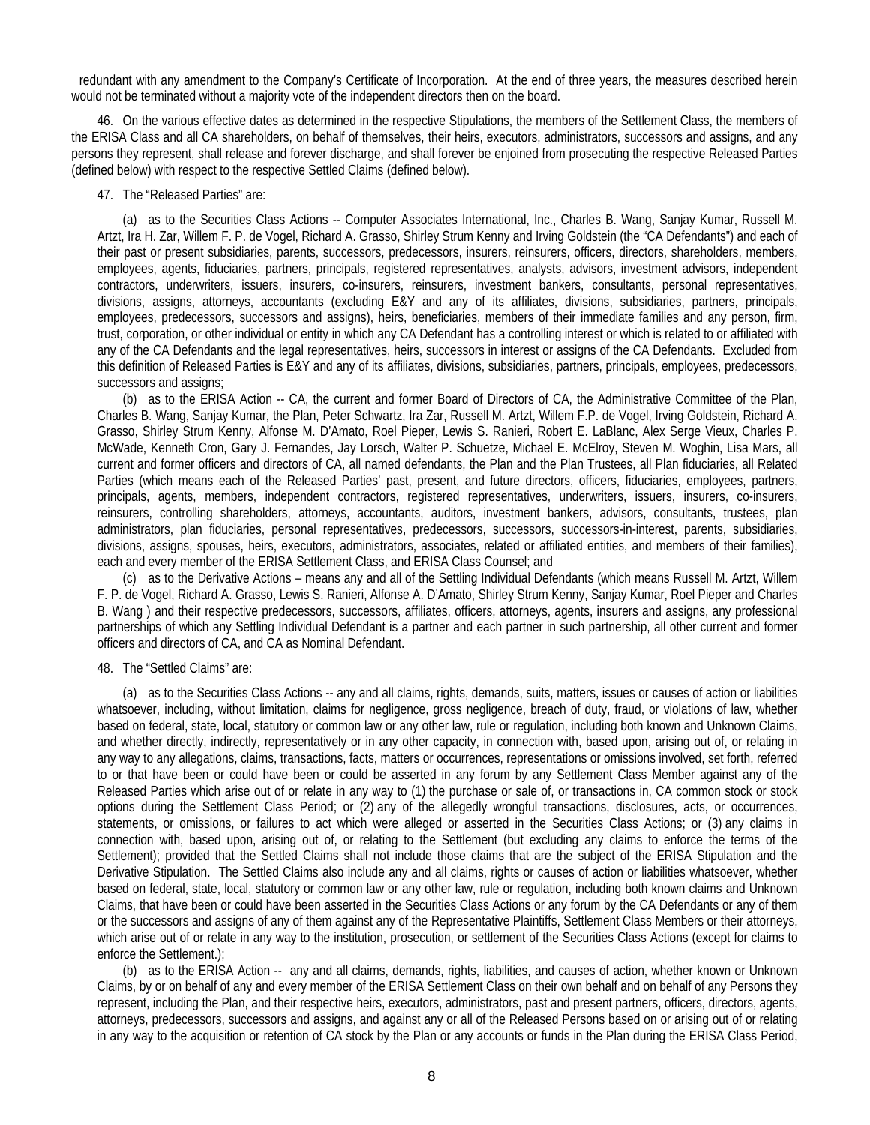redundant with any amendment to the Company's Certificate of Incorporation. At the end of three years, the measures described herein would not be terminated without a majority vote of the independent directors then on the board.

46. On the various effective dates as determined in the respective Stipulations, the members of the Settlement Class, the members of the ERISA Class and all CA shareholders, on behalf of themselves, their heirs, executors, administrators, successors and assigns, and any persons they represent, shall release and forever discharge, and shall forever be enjoined from prosecuting the respective Released Parties (defined below) with respect to the respective Settled Claims (defined below).

#### 47. The "Released Parties" are:

(a) as to the Securities Class Actions -- Computer Associates International, Inc., Charles B. Wang, Sanjay Kumar, Russell M. Artzt, Ira H. Zar, Willem F. P. de Vogel, Richard A. Grasso, Shirley Strum Kenny and Irving Goldstein (the "CA Defendants") and each of their past or present subsidiaries, parents, successors, predecessors, insurers, reinsurers, officers, directors, shareholders, members, employees, agents, fiduciaries, partners, principals, registered representatives, analysts, advisors, investment advisors, independent contractors, underwriters, issuers, insurers, co-insurers, reinsurers, investment bankers, consultants, personal representatives, divisions, assigns, attorneys, accountants (excluding E&Y and any of its affiliates, divisions, subsidiaries, partners, principals, employees, predecessors, successors and assigns), heirs, beneficiaries, members of their immediate families and any person, firm, trust, corporation, or other individual or entity in which any CA Defendant has a controlling interest or which is related to or affiliated with any of the CA Defendants and the legal representatives, heirs, successors in interest or assigns of the CA Defendants. Excluded from this definition of Released Parties is E&Y and any of its affiliates, divisions, subsidiaries, partners, principals, employees, predecessors, successors and assigns:

(b) as to the ERISA Action -- CA, the current and former Board of Directors of CA, the Administrative Committee of the Plan, Charles B. Wang, Sanjay Kumar, the Plan, Peter Schwartz, Ira Zar, Russell M. Artzt, Willem F.P. de Vogel, Irving Goldstein, Richard A. Grasso, Shirley Strum Kenny, Alfonse M. D'Amato, Roel Pieper, Lewis S. Ranieri, Robert E. LaBlanc, Alex Serge Vieux, Charles P. McWade, Kenneth Cron, Gary J. Fernandes, Jay Lorsch, Walter P. Schuetze, Michael E. McElroy, Steven M. Woghin, Lisa Mars, all current and former officers and directors of CA, all named defendants, the Plan and the Plan Trustees, all Plan fiduciaries, all Related Parties (which means each of the Released Parties' past, present, and future directors, officers, fiduciaries, employees, partners, principals, agents, members, independent contractors, registered representatives, underwriters, issuers, insurers, co-insurers, reinsurers, controlling shareholders, attorneys, accountants, auditors, investment bankers, advisors, consultants, trustees, plan administrators, plan fiduciaries, personal representatives, predecessors, successors, successors-in-interest, parents, subsidiaries, divisions, assigns, spouses, heirs, executors, administrators, associates, related or affiliated entities, and members of their families), each and every member of the ERISA Settlement Class, and ERISA Class Counsel; and

(c) as to the Derivative Actions – means any and all of the Settling Individual Defendants (which means Russell M. Artzt, Willem F. P. de Vogel, Richard A. Grasso, Lewis S. Ranieri, Alfonse A. D'Amato, Shirley Strum Kenny, Sanjay Kumar, Roel Pieper and Charles B. Wang ) and their respective predecessors, successors, affiliates, officers, attorneys, agents, insurers and assigns, any professional partnerships of which any Settling Individual Defendant is a partner and each partner in such partnership, all other current and former officers and directors of CA, and CA as Nominal Defendant.

#### 48. The "Settled Claims" are:

(a) as to the Securities Class Actions -- any and all claims, rights, demands, suits, matters, issues or causes of action or liabilities whatsoever, including, without limitation, claims for negligence, gross negligence, breach of duty, fraud, or violations of law, whether based on federal, state, local, statutory or common law or any other law, rule or regulation, including both known and Unknown Claims, and whether directly, indirectly, representatively or in any other capacity, in connection with, based upon, arising out of, or relating in any way to any allegations, claims, transactions, facts, matters or occurrences, representations or omissions involved, set forth, referred to or that have been or could have been or could be asserted in any forum by any Settlement Class Member against any of the Released Parties which arise out of or relate in any way to (1) the purchase or sale of, or transactions in, CA common stock or stock options during the Settlement Class Period; or (2) any of the allegedly wrongful transactions, disclosures, acts, or occurrences, statements, or omissions, or failures to act which were alleged or asserted in the Securities Class Actions; or (3) any claims in connection with, based upon, arising out of, or relating to the Settlement (but excluding any claims to enforce the terms of the Settlement); provided that the Settled Claims shall not include those claims that are the subject of the ERISA Stipulation and the Derivative Stipulation. The Settled Claims also include any and all claims, rights or causes of action or liabilities whatsoever, whether based on federal, state, local, statutory or common law or any other law, rule or regulation, including both known claims and Unknown Claims, that have been or could have been asserted in the Securities Class Actions or any forum by the CA Defendants or any of them or the successors and assigns of any of them against any of the Representative Plaintiffs, Settlement Class Members or their attorneys, which arise out of or relate in any way to the institution, prosecution, or settlement of the Securities Class Actions (except for claims to enforce the Settlement.);

(b) as to the ERISA Action -- any and all claims, demands, rights, liabilities, and causes of action, whether known or Unknown Claims, by or on behalf of any and every member of the ERISA Settlement Class on their own behalf and on behalf of any Persons they represent, including the Plan, and their respective heirs, executors, administrators, past and present partners, officers, directors, agents, attorneys, predecessors, successors and assigns, and against any or all of the Released Persons based on or arising out of or relating in any way to the acquisition or retention of CA stock by the Plan or any accounts or funds in the Plan during the ERISA Class Period,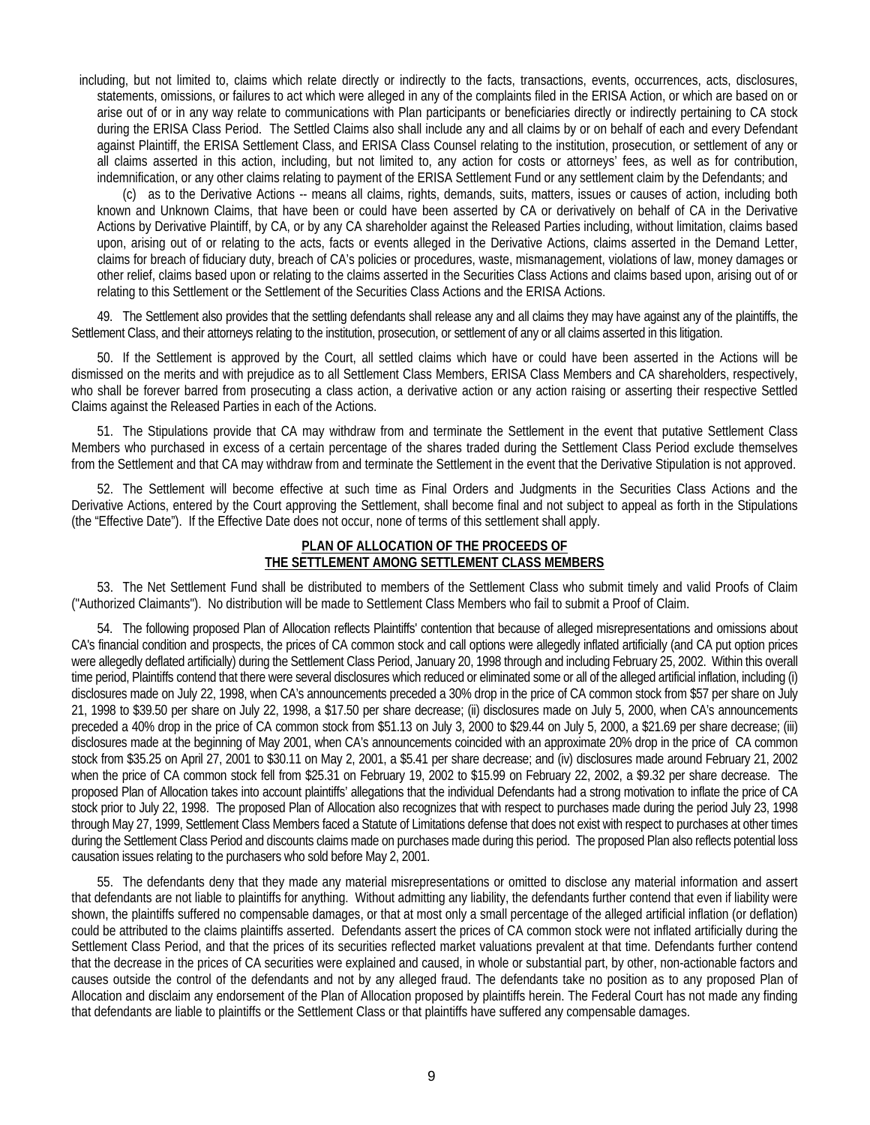including, but not limited to, claims which relate directly or indirectly to the facts, transactions, events, occurrences, acts, disclosures, statements, omissions, or failures to act which were alleged in any of the complaints filed in the ERISA Action, or which are based on or arise out of or in any way relate to communications with Plan participants or beneficiaries directly or indirectly pertaining to CA stock during the ERISA Class Period. The Settled Claims also shall include any and all claims by or on behalf of each and every Defendant against Plaintiff, the ERISA Settlement Class, and ERISA Class Counsel relating to the institution, prosecution, or settlement of any or all claims asserted in this action, including, but not limited to, any action for costs or attorneys' fees, as well as for contribution, indemnification, or any other claims relating to payment of the ERISA Settlement Fund or any settlement claim by the Defendants; and

(c) as to the Derivative Actions -- means all claims, rights, demands, suits, matters, issues or causes of action, including both known and Unknown Claims, that have been or could have been asserted by CA or derivatively on behalf of CA in the Derivative Actions by Derivative Plaintiff, by CA, or by any CA shareholder against the Released Parties including, without limitation, claims based upon, arising out of or relating to the acts, facts or events alleged in the Derivative Actions, claims asserted in the Demand Letter, claims for breach of fiduciary duty, breach of CA's policies or procedures, waste, mismanagement, violations of law, money damages or other relief, claims based upon or relating to the claims asserted in the Securities Class Actions and claims based upon, arising out of or relating to this Settlement or the Settlement of the Securities Class Actions and the ERISA Actions.

49. The Settlement also provides that the settling defendants shall release any and all claims they may have against any of the plaintiffs, the Settlement Class, and their attorneys relating to the institution, prosecution, or settlement of any or all claims asserted in this litigation.

50. If the Settlement is approved by the Court, all settled claims which have or could have been asserted in the Actions will be dismissed on the merits and with prejudice as to all Settlement Class Members, ERISA Class Members and CA shareholders, respectively, who shall be forever barred from prosecuting a class action, a derivative action or any action raising or asserting their respective Settled Claims against the Released Parties in each of the Actions.

51. The Stipulations provide that CA may withdraw from and terminate the Settlement in the event that putative Settlement Class Members who purchased in excess of a certain percentage of the shares traded during the Settlement Class Period exclude themselves from the Settlement and that CA may withdraw from and terminate the Settlement in the event that the Derivative Stipulation is not approved.

52. The Settlement will become effective at such time as Final Orders and Judgments in the Securities Class Actions and the Derivative Actions, entered by the Court approving the Settlement, shall become final and not subject to appeal as forth in the Stipulations (the "Effective Date"). If the Effective Date does not occur, none of terms of this settlement shall apply.

### **PLAN OF ALLOCATION OF THE PROCEEDS OF THE SETTLEMENT AMONG SETTLEMENT CLASS MEMBERS**

53. The Net Settlement Fund shall be distributed to members of the Settlement Class who submit timely and valid Proofs of Claim ("Authorized Claimants"). No distribution will be made to Settlement Class Members who fail to submit a Proof of Claim.

54. The following proposed Plan of Allocation reflects Plaintiffs' contention that because of alleged misrepresentations and omissions about CA's financial condition and prospects, the prices of CA common stock and call options were allegedly inflated artificially (and CA put option prices were allegedly deflated artificially) during the Settlement Class Period, January 20, 1998 through and including February 25, 2002. Within this overall time period, Plaintiffs contend that there were several disclosures which reduced or eliminated some or all of the alleged artificial inflation, including (i) disclosures made on July 22, 1998, when CA's announcements preceded a 30% drop in the price of CA common stock from \$57 per share on July 21, 1998 to \$39.50 per share on July 22, 1998, a \$17.50 per share decrease; (ii) disclosures made on July 5, 2000, when CA's announcements preceded a 40% drop in the price of CA common stock from \$51.13 on July 3, 2000 to \$29.44 on July 5, 2000, a \$21.69 per share decrease; (iii) disclosures made at the beginning of May 2001, when CA's announcements coincided with an approximate 20% drop in the price of CA common stock from \$35.25 on April 27, 2001 to \$30.11 on May 2, 2001, a \$5.41 per share decrease; and (iv) disclosures made around February 21, 2002 when the price of CA common stock fell from \$25.31 on February 19, 2002 to \$15.99 on February 22, 2002, a \$9.32 per share decrease. The proposed Plan of Allocation takes into account plaintiffs' allegations that the individual Defendants had a strong motivation to inflate the price of CA stock prior to July 22, 1998. The proposed Plan of Allocation also recognizes that with respect to purchases made during the period July 23, 1998 through May 27, 1999, Settlement Class Members faced a Statute of Limitations defense that does not exist with respect to purchases at other times during the Settlement Class Period and discounts claims made on purchases made during this period. The proposed Plan also reflects potential loss causation issues relating to the purchasers who sold before May 2, 2001.

55. The defendants deny that they made any material misrepresentations or omitted to disclose any material information and assert that defendants are not liable to plaintiffs for anything. Without admitting any liability, the defendants further contend that even if liability were shown, the plaintiffs suffered no compensable damages, or that at most only a small percentage of the alleged artificial inflation (or deflation) could be attributed to the claims plaintiffs asserted. Defendants assert the prices of CA common stock were not inflated artificially during the Settlement Class Period, and that the prices of its securities reflected market valuations prevalent at that time. Defendants further contend that the decrease in the prices of CA securities were explained and caused, in whole or substantial part, by other, non-actionable factors and causes outside the control of the defendants and not by any alleged fraud. The defendants take no position as to any proposed Plan of Allocation and disclaim any endorsement of the Plan of Allocation proposed by plaintiffs herein. The Federal Court has not made any finding that defendants are liable to plaintiffs or the Settlement Class or that plaintiffs have suffered any compensable damages.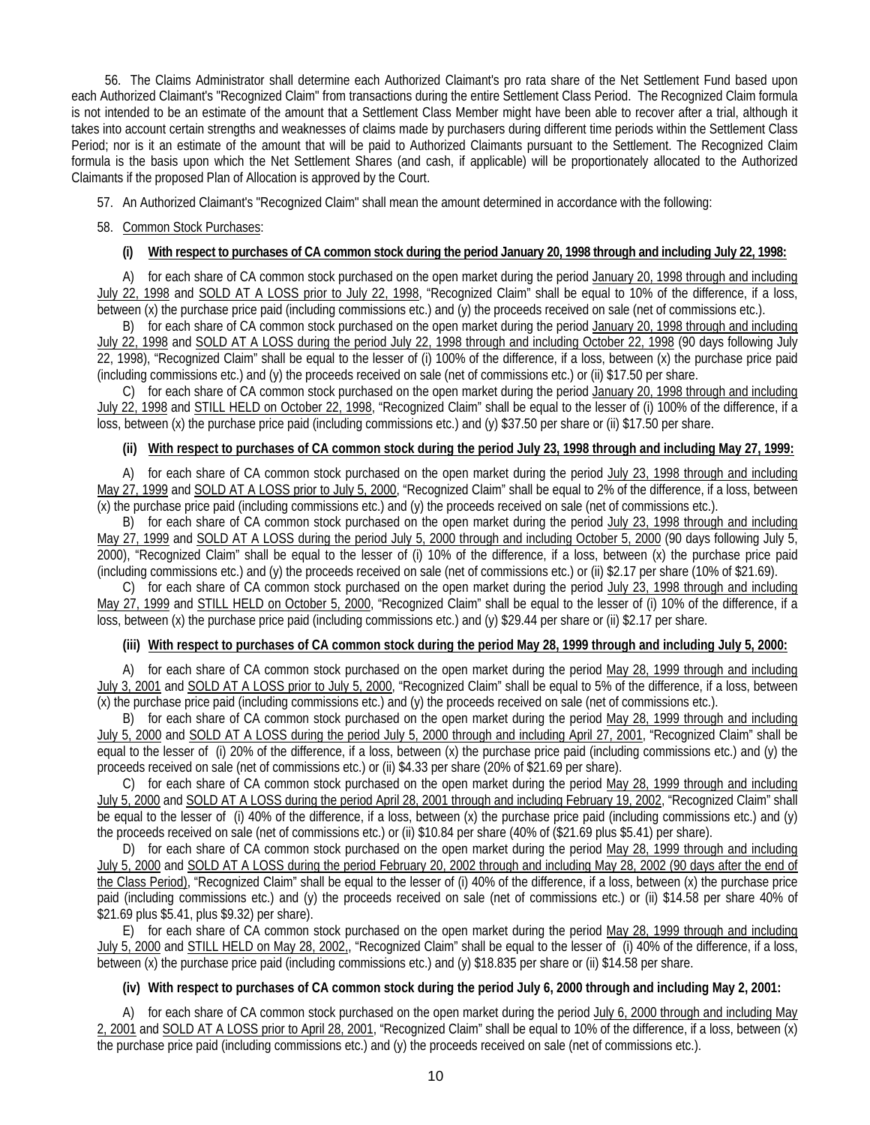56. The Claims Administrator shall determine each Authorized Claimant's pro rata share of the Net Settlement Fund based upon each Authorized Claimant's "Recognized Claim" from transactions during the entire Settlement Class Period. The Recognized Claim formula is not intended to be an estimate of the amount that a Settlement Class Member might have been able to recover after a trial, although it takes into account certain strengths and weaknesses of claims made by purchasers during different time periods within the Settlement Class Period; nor is it an estimate of the amount that will be paid to Authorized Claimants pursuant to the Settlement. The Recognized Claim formula is the basis upon which the Net Settlement Shares (and cash, if applicable) will be proportionately allocated to the Authorized Claimants if the proposed Plan of Allocation is approved by the Court.

57. An Authorized Claimant's "Recognized Claim" shall mean the amount determined in accordance with the following:

# 58. Common Stock Purchases:

# **(i) With respect to purchases of CA common stock during the period January 20, 1998 through and including July 22, 1998:**

A) for each share of CA common stock purchased on the open market during the period January 20, 1998 through and including July 22, 1998 and SOLD AT A LOSS prior to July 22, 1998, "Recognized Claim" shall be equal to 10% of the difference, if a loss, between (x) the purchase price paid (including commissions etc.) and (y) the proceeds received on sale (net of commissions etc.).

B) for each share of CA common stock purchased on the open market during the period January 20, 1998 through and including July 22, 1998 and SOLD AT A LOSS during the period July 22, 1998 through and including October 22, 1998 (90 days following July 22, 1998), "Recognized Claim" shall be equal to the lesser of (i) 100% of the difference, if a loss, between (x) the purchase price paid (including commissions etc.) and (y) the proceeds received on sale (net of commissions etc.) or (ii) \$17.50 per share.

C) for each share of CA common stock purchased on the open market during the period January 20, 1998 through and including July 22, 1998 and STILL HELD on October 22, 1998, "Recognized Claim" shall be equal to the lesser of (i) 100% of the difference, if a loss, between (x) the purchase price paid (including commissions etc.) and (y) \$37.50 per share or (ii) \$17.50 per share.

### **(ii) With respect to purchases of CA common stock during the period July 23, 1998 through and including May 27, 1999:**

A) for each share of CA common stock purchased on the open market during the period July 23, 1998 through and including May 27, 1999 and SOLD AT A LOSS prior to July 5, 2000, "Recognized Claim" shall be equal to 2% of the difference, if a loss, between (x) the purchase price paid (including commissions etc.) and (y) the proceeds received on sale (net of commissions etc.).

B) for each share of CA common stock purchased on the open market during the period July 23, 1998 through and including May 27, 1999 and SOLD AT A LOSS during the period July 5, 2000 through and including October 5, 2000 (90 days following July 5, 2000), "Recognized Claim" shall be equal to the lesser of (i) 10% of the difference, if a loss, between (x) the purchase price paid (including commissions etc.) and (y) the proceeds received on sale (net of commissions etc.) or (ii) \$2.17 per share (10% of \$21.69).

C) for each share of CA common stock purchased on the open market during the period July 23, 1998 through and including May 27, 1999 and STILL HELD on October 5, 2000, "Recognized Claim" shall be equal to the lesser of (i) 10% of the difference, if a loss, between (x) the purchase price paid (including commissions etc.) and (y) \$29.44 per share or (ii) \$2.17 per share.

### **(iii) With respect to purchases of CA common stock during the period May 28, 1999 through and including July 5, 2000:**

A) for each share of CA common stock purchased on the open market during the period May 28, 1999 through and including July 3, 2001 and SOLD AT A LOSS prior to July 5, 2000, "Recognized Claim" shall be equal to 5% of the difference, if a loss, between (x) the purchase price paid (including commissions etc.) and (y) the proceeds received on sale (net of commissions etc.).

B) for each share of CA common stock purchased on the open market during the period May 28, 1999 through and including July 5, 2000 and SOLD AT A LOSS during the period July 5, 2000 through and including April 27, 2001, "Recognized Claim" shall be equal to the lesser of (i) 20% of the difference, if a loss, between (x) the purchase price paid (including commissions etc.) and (y) the proceeds received on sale (net of commissions etc.) or (ii) \$4.33 per share (20% of \$21.69 per share).

C) for each share of CA common stock purchased on the open market during the period May 28, 1999 through and including July 5, 2000 and SOLD AT A LOSS during the period April 28, 2001 through and including February 19, 2002, "Recognized Claim" shall be equal to the lesser of (i) 40% of the difference, if a loss, between (x) the purchase price paid (including commissions etc.) and (y) the proceeds received on sale (net of commissions etc.) or (ii) \$10.84 per share (40% of (\$21.69 plus \$5.41) per share).

D) for each share of CA common stock purchased on the open market during the period May 28, 1999 through and including July 5, 2000 and SOLD AT A LOSS during the period February 20, 2002 through and including May 28, 2002 (90 days after the end of the Class Period), "Recognized Claim" shall be equal to the lesser of (i) 40% of the difference, if a loss, between (x) the purchase price paid (including commissions etc.) and (y) the proceeds received on sale (net of commissions etc.) or (ii) \$14.58 per share 40% of \$21.69 plus \$5.41, plus \$9.32) per share).

E) for each share of CA common stock purchased on the open market during the period May 28, 1999 through and including July 5, 2000 and STILL HELD on May 28, 2002., "Recognized Claim" shall be equal to the lesser of (i) 40% of the difference, if a loss, between (x) the purchase price paid (including commissions etc.) and (y) \$18.835 per share or (ii) \$14.58 per share.

### **(iv) With respect to purchases of CA common stock during the period July 6, 2000 through and including May 2, 2001:**

A) for each share of CA common stock purchased on the open market during the period July 6, 2000 through and including May 2, 2001 and SOLD AT A LOSS prior to April 28, 2001, "Recognized Claim" shall be equal to 10% of the difference, if a loss, between (x) the purchase price paid (including commissions etc.) and (y) the proceeds received on sale (net of commissions etc.).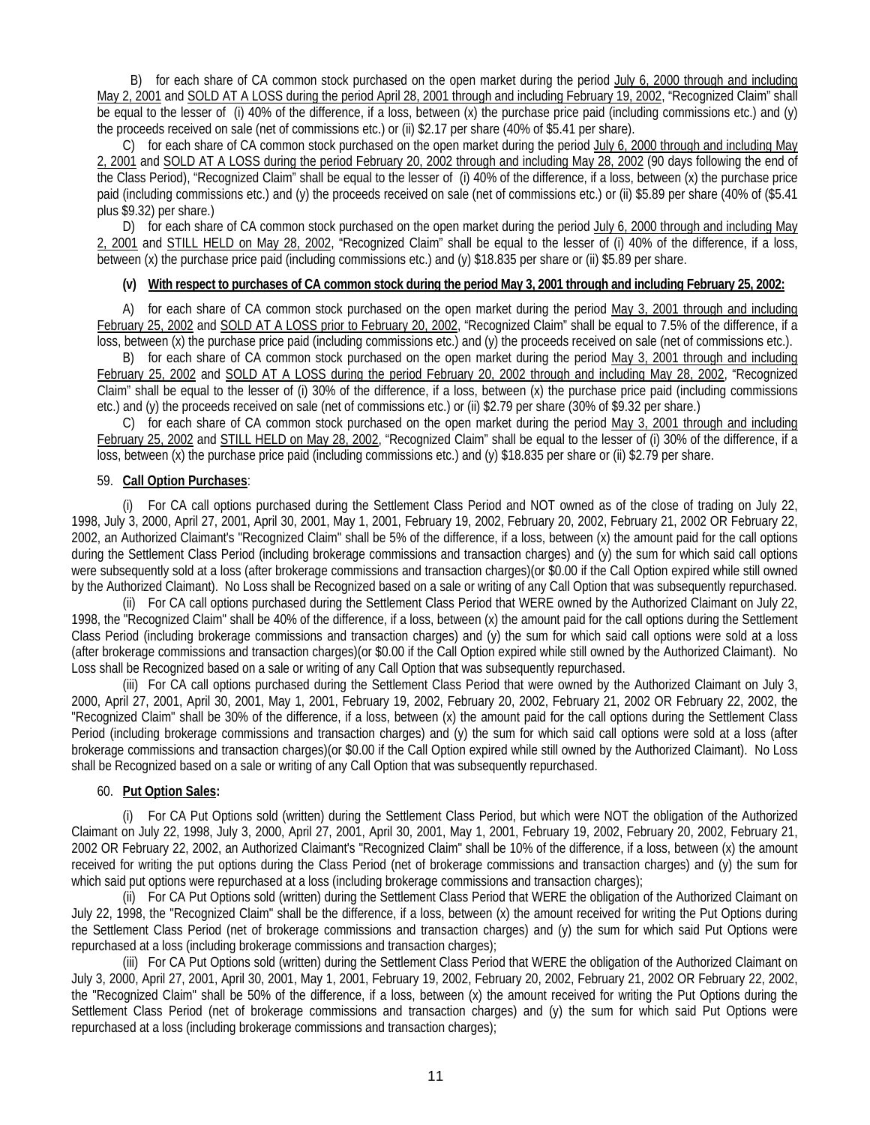B) for each share of CA common stock purchased on the open market during the period July 6, 2000 through and including May 2, 2001 and SOLD AT A LOSS during the period April 28, 2001 through and including February 19, 2002, "Recognized Claim" shall be equal to the lesser of (i) 40% of the difference, if a loss, between (x) the purchase price paid (including commissions etc.) and (y) the proceeds received on sale (net of commissions etc.) or (ii) \$2.17 per share (40% of \$5.41 per share).

C) for each share of CA common stock purchased on the open market during the period July 6, 2000 through and including May 2, 2001 and SOLD AT A LOSS during the period February 20, 2002 through and including May 28, 2002 (90 days following the end of the Class Period), "Recognized Claim" shall be equal to the lesser of (i) 40% of the difference, if a loss, between (x) the purchase price paid (including commissions etc.) and (y) the proceeds received on sale (net of commissions etc.) or (ii) \$5.89 per share (40% of (\$5.41 plus \$9.32) per share.)

D) for each share of CA common stock purchased on the open market during the period July 6, 2000 through and including May 2, 2001 and STILL HELD on May 28, 2002, "Recognized Claim" shall be equal to the lesser of (i) 40% of the difference, if a loss, between (x) the purchase price paid (including commissions etc.) and (y) \$18.835 per share or (ii) \$5.89 per share.

### **(v) With respect to purchases of CA common stock during the period May 3, 2001 through and including February 25, 2002:**

A) for each share of CA common stock purchased on the open market during the period May 3, 2001 through and including February 25, 2002 and SOLD AT A LOSS prior to February 20, 2002, "Recognized Claim" shall be equal to 7.5% of the difference, if a loss, between (x) the purchase price paid (including commissions etc.) and (y) the proceeds received on sale (net of commissions etc.).

B) for each share of CA common stock purchased on the open market during the period May 3, 2001 through and including February 25, 2002 and SOLD AT A LOSS during the period February 20, 2002 through and including May 28, 2002, "Recognized Claim" shall be equal to the lesser of (i) 30% of the difference, if a loss, between (x) the purchase price paid (including commissions etc.) and (y) the proceeds received on sale (net of commissions etc.) or (ii) \$2.79 per share (30% of \$9.32 per share.)

C) for each share of CA common stock purchased on the open market during the period May 3, 2001 through and including February 25, 2002 and STILL HELD on May 28, 2002, "Recognized Claim" shall be equal to the lesser of (i) 30% of the difference, if a loss, between (x) the purchase price paid (including commissions etc.) and (y) \$18.835 per share or (ii) \$2.79 per share.

### 59. **Call Option Purchases**:

(i) For CA call options purchased during the Settlement Class Period and NOT owned as of the close of trading on July 22, 1998, July 3, 2000, April 27, 2001, April 30, 2001, May 1, 2001, February 19, 2002, February 20, 2002, February 21, 2002 OR February 22, 2002, an Authorized Claimant's "Recognized Claim" shall be 5% of the difference, if a loss, between (x) the amount paid for the call options during the Settlement Class Period (including brokerage commissions and transaction charges) and (y) the sum for which said call options were subsequently sold at a loss (after brokerage commissions and transaction charges)(or \$0.00 if the Call Option expired while still owned by the Authorized Claimant). No Loss shall be Recognized based on a sale or writing of any Call Option that was subsequently repurchased.

(ii) For CA call options purchased during the Settlement Class Period that WERE owned by the Authorized Claimant on July 22, 1998, the "Recognized Claim" shall be 40% of the difference, if a loss, between (x) the amount paid for the call options during the Settlement Class Period (including brokerage commissions and transaction charges) and (y) the sum for which said call options were sold at a loss (after brokerage commissions and transaction charges)(or \$0.00 if the Call Option expired while still owned by the Authorized Claimant). No Loss shall be Recognized based on a sale or writing of any Call Option that was subsequently repurchased.

(iii) For CA call options purchased during the Settlement Class Period that were owned by the Authorized Claimant on July 3, 2000, April 27, 2001, April 30, 2001, May 1, 2001, February 19, 2002, February 20, 2002, February 21, 2002 OR February 22, 2002, the "Recognized Claim" shall be 30% of the difference, if a loss, between (x) the amount paid for the call options during the Settlement Class Period (including brokerage commissions and transaction charges) and (y) the sum for which said call options were sold at a loss (after brokerage commissions and transaction charges)(or \$0.00 if the Call Option expired while still owned by the Authorized Claimant). No Loss shall be Recognized based on a sale or writing of any Call Option that was subsequently repurchased.

### 60. **Put Option Sales:**

(i) For CA Put Options sold (written) during the Settlement Class Period, but which were NOT the obligation of the Authorized Claimant on July 22, 1998, July 3, 2000, April 27, 2001, April 30, 2001, May 1, 2001, February 19, 2002, February 20, 2002, February 21, 2002 OR February 22, 2002, an Authorized Claimant's "Recognized Claim" shall be 10% of the difference, if a loss, between (x) the amount received for writing the put options during the Class Period (net of brokerage commissions and transaction charges) and (y) the sum for which said put options were repurchased at a loss (including brokerage commissions and transaction charges);

(ii) For CA Put Options sold (written) during the Settlement Class Period that WERE the obligation of the Authorized Claimant on July 22, 1998, the "Recognized Claim" shall be the difference, if a loss, between (x) the amount received for writing the Put Options during the Settlement Class Period (net of brokerage commissions and transaction charges) and (y) the sum for which said Put Options were repurchased at a loss (including brokerage commissions and transaction charges);

(iii) For CA Put Options sold (written) during the Settlement Class Period that WERE the obligation of the Authorized Claimant on July 3, 2000, April 27, 2001, April 30, 2001, May 1, 2001, February 19, 2002, February 20, 2002, February 21, 2002 OR February 22, 2002, the "Recognized Claim" shall be 50% of the difference, if a loss, between (x) the amount received for writing the Put Options during the Settlement Class Period (net of brokerage commissions and transaction charges) and (y) the sum for which said Put Options were repurchased at a loss (including brokerage commissions and transaction charges);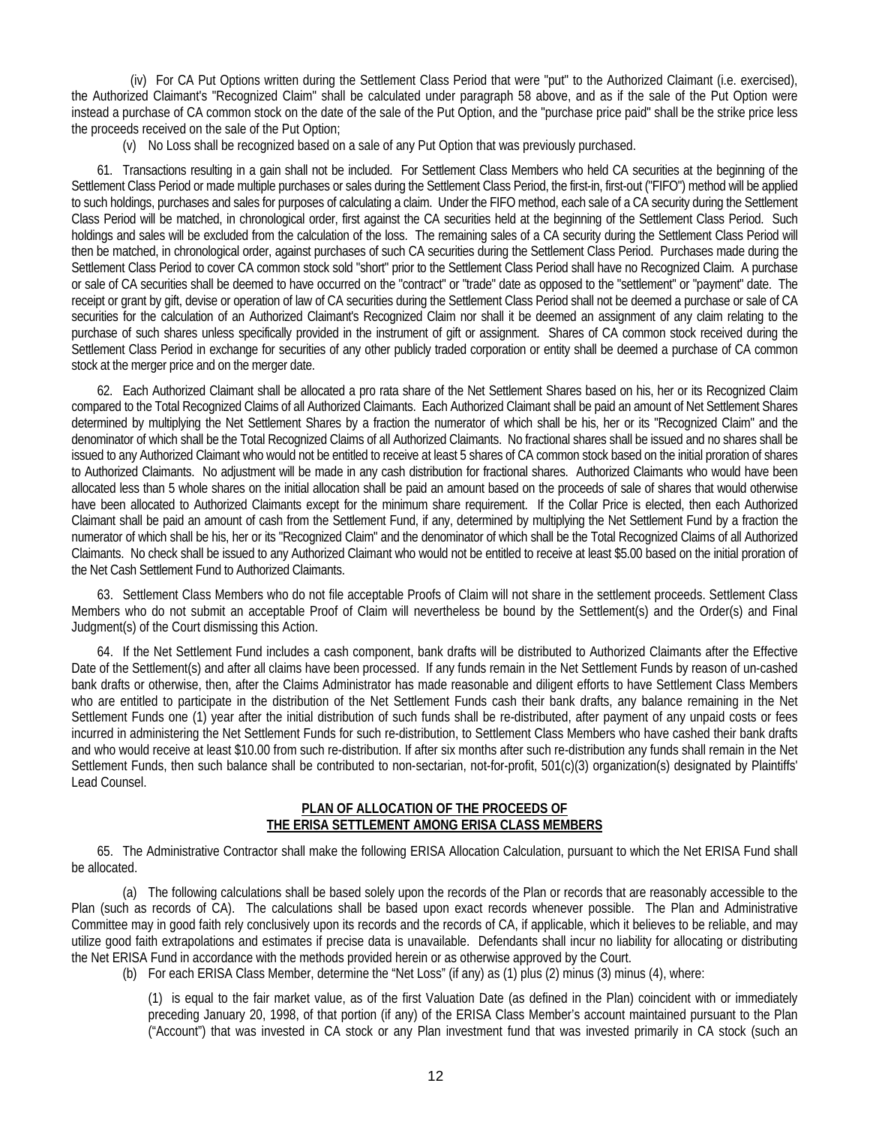(iv) For CA Put Options written during the Settlement Class Period that were "put" to the Authorized Claimant (i.e. exercised), the Authorized Claimant's "Recognized Claim" shall be calculated under paragraph 58 above, and as if the sale of the Put Option were instead a purchase of CA common stock on the date of the sale of the Put Option, and the "purchase price paid" shall be the strike price less the proceeds received on the sale of the Put Option;

(v) No Loss shall be recognized based on a sale of any Put Option that was previously purchased.

61. Transactions resulting in a gain shall not be included. For Settlement Class Members who held CA securities at the beginning of the Settlement Class Period or made multiple purchases or sales during the Settlement Class Period, the first-in, first-out ("FIFO") method will be applied to such holdings, purchases and sales for purposes of calculating a claim. Under the FIFO method, each sale of a CA security during the Settlement Class Period will be matched, in chronological order, first against the CA securities held at the beginning of the Settlement Class Period. Such holdings and sales will be excluded from the calculation of the loss. The remaining sales of a CA security during the Settlement Class Period will then be matched, in chronological order, against purchases of such CA securities during the Settlement Class Period. Purchases made during the Settlement Class Period to cover CA common stock sold "short" prior to the Settlement Class Period shall have no Recognized Claim. A purchase or sale of CA securities shall be deemed to have occurred on the "contract" or "trade" date as opposed to the "settlement" or "payment" date. The receipt or grant by gift, devise or operation of law of CA securities during the Settlement Class Period shall not be deemed a purchase or sale of CA securities for the calculation of an Authorized Claimant's Recognized Claim nor shall it be deemed an assignment of any claim relating to the purchase of such shares unless specifically provided in the instrument of gift or assignment. Shares of CA common stock received during the Settlement Class Period in exchange for securities of any other publicly traded corporation or entity shall be deemed a purchase of CA common stock at the merger price and on the merger date.

62. Each Authorized Claimant shall be allocated a pro rata share of the Net Settlement Shares based on his, her or its Recognized Claim compared to the Total Recognized Claims of all Authorized Claimants. Each Authorized Claimant shall be paid an amount of Net Settlement Shares determined by multiplying the Net Settlement Shares by a fraction the numerator of which shall be his, her or its "Recognized Claim" and the denominator of which shall be the Total Recognized Claims of all Authorized Claimants. No fractional shares shall be issued and no shares shall be issued to any Authorized Claimant who would not be entitled to receive at least 5 shares of CA common stock based on the initial proration of shares to Authorized Claimants. No adjustment will be made in any cash distribution for fractional shares. Authorized Claimants who would have been allocated less than 5 whole shares on the initial allocation shall be paid an amount based on the proceeds of sale of shares that would otherwise have been allocated to Authorized Claimants except for the minimum share requirement. If the Collar Price is elected, then each Authorized Claimant shall be paid an amount of cash from the Settlement Fund, if any, determined by multiplying the Net Settlement Fund by a fraction the numerator of which shall be his, her or its "Recognized Claim" and the denominator of which shall be the Total Recognized Claims of all Authorized Claimants. No check shall be issued to any Authorized Claimant who would not be entitled to receive at least \$5.00 based on the initial proration of the Net Cash Settlement Fund to Authorized Claimants.

63. Settlement Class Members who do not file acceptable Proofs of Claim will not share in the settlement proceeds. Settlement Class Members who do not submit an acceptable Proof of Claim will nevertheless be bound by the Settlement(s) and the Order(s) and Final Judgment(s) of the Court dismissing this Action.

64. If the Net Settlement Fund includes a cash component, bank drafts will be distributed to Authorized Claimants after the Effective Date of the Settlement(s) and after all claims have been processed. If any funds remain in the Net Settlement Funds by reason of un-cashed bank drafts or otherwise, then, after the Claims Administrator has made reasonable and diligent efforts to have Settlement Class Members who are entitled to participate in the distribution of the Net Settlement Funds cash their bank drafts, any balance remaining in the Net Settlement Funds one (1) year after the initial distribution of such funds shall be re-distributed, after payment of any unpaid costs or fees incurred in administering the Net Settlement Funds for such re-distribution, to Settlement Class Members who have cashed their bank drafts and who would receive at least \$10.00 from such re-distribution. If after six months after such re-distribution any funds shall remain in the Net Settlement Funds, then such balance shall be contributed to non-sectarian, not-for-profit, 501(c)(3) organization(s) designated by Plaintiffs' Lead Counsel.

### **PLAN OF ALLOCATION OF THE PROCEEDS OF THE ERISA SETTLEMENT AMONG ERISA CLASS MEMBERS**

65. The Administrative Contractor shall make the following ERISA Allocation Calculation, pursuant to which the Net ERISA Fund shall be allocated.

(a) The following calculations shall be based solely upon the records of the Plan or records that are reasonably accessible to the Plan (such as records of CA). The calculations shall be based upon exact records whenever possible. The Plan and Administrative Committee may in good faith rely conclusively upon its records and the records of CA, if applicable, which it believes to be reliable, and may utilize good faith extrapolations and estimates if precise data is unavailable. Defendants shall incur no liability for allocating or distributing the Net ERISA Fund in accordance with the methods provided herein or as otherwise approved by the Court.

(b) For each ERISA Class Member, determine the "Net Loss" (if any) as (1) plus (2) minus (3) minus (4), where:

(1) is equal to the fair market value, as of the first Valuation Date (as defined in the Plan) coincident with or immediately preceding January 20, 1998, of that portion (if any) of the ERISA Class Member's account maintained pursuant to the Plan ("Account") that was invested in CA stock or any Plan investment fund that was invested primarily in CA stock (such an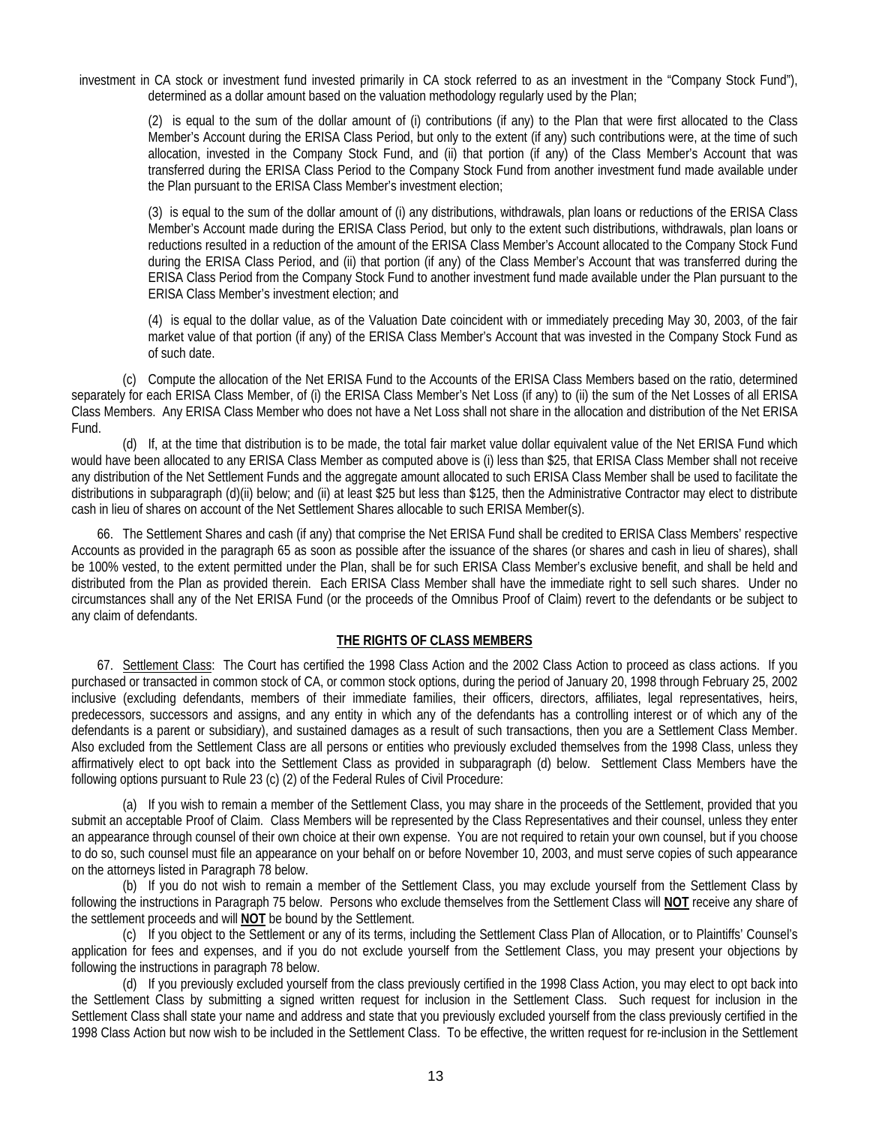investment in CA stock or investment fund invested primarily in CA stock referred to as an investment in the "Company Stock Fund"), determined as a dollar amount based on the valuation methodology regularly used by the Plan;

(2) is equal to the sum of the dollar amount of (i) contributions (if any) to the Plan that were first allocated to the Class Member's Account during the ERISA Class Period, but only to the extent (if any) such contributions were, at the time of such allocation, invested in the Company Stock Fund, and (ii) that portion (if any) of the Class Member's Account that was transferred during the ERISA Class Period to the Company Stock Fund from another investment fund made available under the Plan pursuant to the ERISA Class Member's investment election;

(3) is equal to the sum of the dollar amount of (i) any distributions, withdrawals, plan loans or reductions of the ERISA Class Member's Account made during the ERISA Class Period, but only to the extent such distributions, withdrawals, plan loans or reductions resulted in a reduction of the amount of the ERISA Class Member's Account allocated to the Company Stock Fund during the ERISA Class Period, and (ii) that portion (if any) of the Class Member's Account that was transferred during the ERISA Class Period from the Company Stock Fund to another investment fund made available under the Plan pursuant to the ERISA Class Member's investment election; and

(4) is equal to the dollar value, as of the Valuation Date coincident with or immediately preceding May 30, 2003, of the fair market value of that portion (if any) of the ERISA Class Member's Account that was invested in the Company Stock Fund as of such date.

(c) Compute the allocation of the Net ERISA Fund to the Accounts of the ERISA Class Members based on the ratio, determined separately for each ERISA Class Member, of (i) the ERISA Class Member's Net Loss (if any) to (ii) the sum of the Net Losses of all ERISA Class Members. Any ERISA Class Member who does not have a Net Loss shall not share in the allocation and distribution of the Net ERISA Fund.

(d) If, at the time that distribution is to be made, the total fair market value dollar equivalent value of the Net ERISA Fund which would have been allocated to any ERISA Class Member as computed above is (i) less than \$25, that ERISA Class Member shall not receive any distribution of the Net Settlement Funds and the aggregate amount allocated to such ERISA Class Member shall be used to facilitate the distributions in subparagraph (d)(ii) below; and (ii) at least \$25 but less than \$125, then the Administrative Contractor may elect to distribute cash in lieu of shares on account of the Net Settlement Shares allocable to such ERISA Member(s).

66. The Settlement Shares and cash (if any) that comprise the Net ERISA Fund shall be credited to ERISA Class Members' respective Accounts as provided in the paragraph 65 as soon as possible after the issuance of the shares (or shares and cash in lieu of shares), shall be 100% vested, to the extent permitted under the Plan, shall be for such ERISA Class Member's exclusive benefit, and shall be held and distributed from the Plan as provided therein. Each ERISA Class Member shall have the immediate right to sell such shares. Under no circumstances shall any of the Net ERISA Fund (or the proceeds of the Omnibus Proof of Claim) revert to the defendants or be subject to any claim of defendants.

### **THE RIGHTS OF CLASS MEMBERS**

67. Settlement Class: The Court has certified the 1998 Class Action and the 2002 Class Action to proceed as class actions. If you purchased or transacted in common stock of CA, or common stock options, during the period of January 20, 1998 through February 25, 2002 inclusive (excluding defendants, members of their immediate families, their officers, directors, affiliates, legal representatives, heirs, predecessors, successors and assigns, and any entity in which any of the defendants has a controlling interest or of which any of the defendants is a parent or subsidiary), and sustained damages as a result of such transactions, then you are a Settlement Class Member. Also excluded from the Settlement Class are all persons or entities who previously excluded themselves from the 1998 Class, unless they affirmatively elect to opt back into the Settlement Class as provided in subparagraph (d) below. Settlement Class Members have the following options pursuant to Rule 23 (c) (2) of the Federal Rules of Civil Procedure:

(a) If you wish to remain a member of the Settlement Class, you may share in the proceeds of the Settlement, provided that you submit an acceptable Proof of Claim. Class Members will be represented by the Class Representatives and their counsel, unless they enter an appearance through counsel of their own choice at their own expense. You are not required to retain your own counsel, but if you choose to do so, such counsel must file an appearance on your behalf on or before November 10, 2003, and must serve copies of such appearance on the attorneys listed in Paragraph 78 below.

(b) If you do not wish to remain a member of the Settlement Class, you may exclude yourself from the Settlement Class by following the instructions in Paragraph 75 below. Persons who exclude themselves from the Settlement Class will **NOT** receive any share of the settlement proceeds and will **NOT** be bound by the Settlement.

(c) If you object to the Settlement or any of its terms, including the Settlement Class Plan of Allocation, or to Plaintiffs' Counsel's application for fees and expenses, and if you do not exclude yourself from the Settlement Class, you may present your objections by following the instructions in paragraph 78 below.

(d) If you previously excluded yourself from the class previously certified in the 1998 Class Action, you may elect to opt back into the Settlement Class by submitting a signed written request for inclusion in the Settlement Class. Such request for inclusion in the Settlement Class shall state your name and address and state that you previously excluded yourself from the class previously certified in the 1998 Class Action but now wish to be included in the Settlement Class. To be effective, the written request for re-inclusion in the Settlement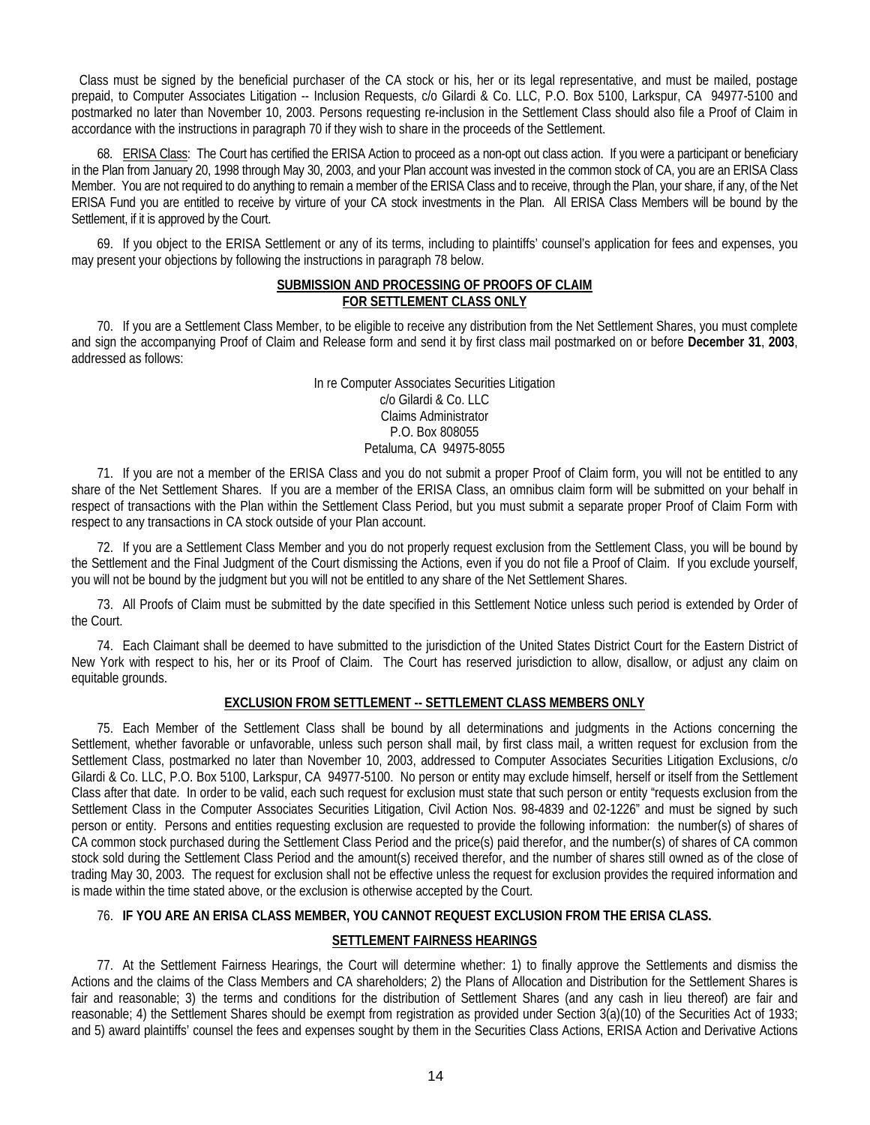Class must be signed by the beneficial purchaser of the CA stock or his, her or its legal representative, and must be mailed, postage prepaid, to Computer Associates Litigation -- Inclusion Requests, c/o Gilardi & Co. LLC, P.O. Box 5100, Larkspur, CA 94977-5100 and postmarked no later than November 10, 2003. Persons requesting re-inclusion in the Settlement Class should also file a Proof of Claim in accordance with the instructions in paragraph 70 if they wish to share in the proceeds of the Settlement.

68. ERISA Class: The Court has certified the ERISA Action to proceed as a non-opt out class action. If you were a participant or beneficiary in the Plan from January 20, 1998 through May 30, 2003, and your Plan account was invested in the common stock of CA, you are an ERISA Class Member. You are not required to do anything to remain a member of the ERISA Class and to receive, through the Plan, your share, if any, of the Net ERISA Fund you are entitled to receive by virture of your CA stock investments in the Plan. All ERISA Class Members will be bound by the Settlement, if it is approved by the Court.

69. If you object to the ERISA Settlement or any of its terms, including to plaintiffs' counsel's application for fees and expenses, you may present your objections by following the instructions in paragraph 78 below.

### **SUBMISSION AND PROCESSING OF PROOFS OF CLAIM FOR SETTLEMENT CLASS ONLY**

70. If you are a Settlement Class Member, to be eligible to receive any distribution from the Net Settlement Shares, you must complete and sign the accompanying Proof of Claim and Release form and send it by first class mail postmarked on or before **December 31**, **2003**, addressed as follows:

> In re Computer Associates Securities Litigation c/o Gilardi & Co. LLC Claims Administrator P.O. Box 808055 Petaluma, CA 94975-8055

71. If you are not a member of the ERISA Class and you do not submit a proper Proof of Claim form, you will not be entitled to any share of the Net Settlement Shares. If you are a member of the ERISA Class, an omnibus claim form will be submitted on your behalf in respect of transactions with the Plan within the Settlement Class Period, but you must submit a separate proper Proof of Claim Form with respect to any transactions in CA stock outside of your Plan account.

72. If you are a Settlement Class Member and you do not properly request exclusion from the Settlement Class, you will be bound by the Settlement and the Final Judgment of the Court dismissing the Actions, even if you do not file a Proof of Claim. If you exclude yourself, you will not be bound by the judgment but you will not be entitled to any share of the Net Settlement Shares.

73. All Proofs of Claim must be submitted by the date specified in this Settlement Notice unless such period is extended by Order of the Court.

74. Each Claimant shall be deemed to have submitted to the jurisdiction of the United States District Court for the Eastern District of New York with respect to his, her or its Proof of Claim. The Court has reserved jurisdiction to allow, disallow, or adjust any claim on equitable grounds.

# **EXCLUSION FROM SETTLEMENT -- SETTLEMENT CLASS MEMBERS ONLY**

75. Each Member of the Settlement Class shall be bound by all determinations and judgments in the Actions concerning the Settlement, whether favorable or unfavorable, unless such person shall mail, by first class mail, a written request for exclusion from the Settlement Class, postmarked no later than November 10, 2003, addressed to Computer Associates Securities Litigation Exclusions, c/o Gilardi & Co. LLC, P.O. Box 5100, Larkspur, CA 94977-5100. No person or entity may exclude himself, herself or itself from the Settlement Class after that date. In order to be valid, each such request for exclusion must state that such person or entity "requests exclusion from the Settlement Class in the Computer Associates Securities Litigation, Civil Action Nos. 98-4839 and 02-1226" and must be signed by such person or entity. Persons and entities requesting exclusion are requested to provide the following information: the number(s) of shares of CA common stock purchased during the Settlement Class Period and the price(s) paid therefor, and the number(s) of shares of CA common stock sold during the Settlement Class Period and the amount(s) received therefor, and the number of shares still owned as of the close of trading May 30, 2003. The request for exclusion shall not be effective unless the request for exclusion provides the required information and is made within the time stated above, or the exclusion is otherwise accepted by the Court.

### 76. **IF YOU ARE AN ERISA CLASS MEMBER, YOU CANNOT REQUEST EXCLUSION FROM THE ERISA CLASS.**

# **SETTLEMENT FAIRNESS HEARINGS**

77. At the Settlement Fairness Hearings, the Court will determine whether: 1) to finally approve the Settlements and dismiss the Actions and the claims of the Class Members and CA shareholders; 2) the Plans of Allocation and Distribution for the Settlement Shares is fair and reasonable; 3) the terms and conditions for the distribution of Settlement Shares (and any cash in lieu thereof) are fair and reasonable; 4) the Settlement Shares should be exempt from registration as provided under Section 3(a)(10) of the Securities Act of 1933; and 5) award plaintiffs' counsel the fees and expenses sought by them in the Securities Class Actions, ERISA Action and Derivative Actions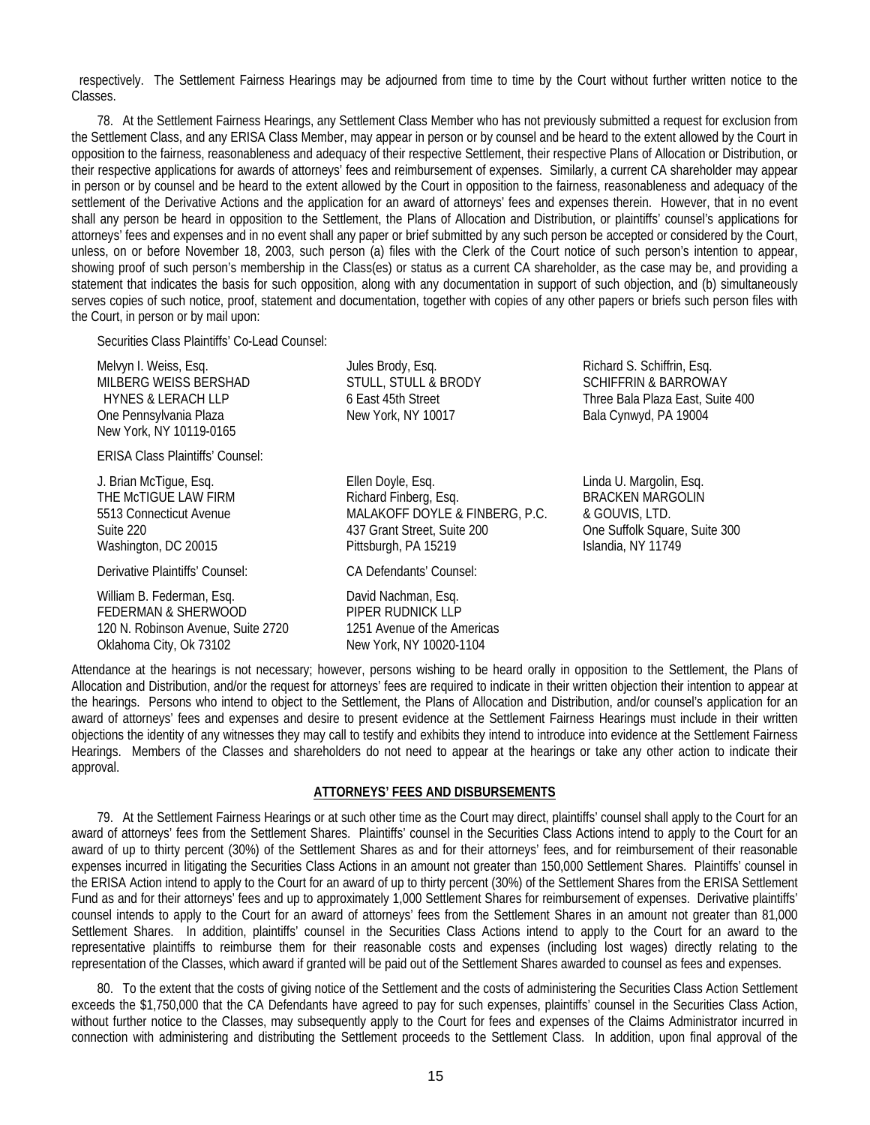respectively. The Settlement Fairness Hearings may be adjourned from time to time by the Court without further written notice to the Classes.

78. At the Settlement Fairness Hearings, any Settlement Class Member who has not previously submitted a request for exclusion from the Settlement Class, and any ERISA Class Member, may appear in person or by counsel and be heard to the extent allowed by the Court in opposition to the fairness, reasonableness and adequacy of their respective Settlement, their respective Plans of Allocation or Distribution, or their respective applications for awards of attorneys' fees and reimbursement of expenses. Similarly, a current CA shareholder may appear in person or by counsel and be heard to the extent allowed by the Court in opposition to the fairness, reasonableness and adequacy of the settlement of the Derivative Actions and the application for an award of attorneys' fees and expenses therein. However, that in no event shall any person be heard in opposition to the Settlement, the Plans of Allocation and Distribution, or plaintiffs' counsel's applications for attorneys' fees and expenses and in no event shall any paper or brief submitted by any such person be accepted or considered by the Court, unless, on or before November 18, 2003, such person (a) files with the Clerk of the Court notice of such person's intention to appear, showing proof of such person's membership in the Class(es) or status as a current CA shareholder, as the case may be, and providing a statement that indicates the basis for such opposition, along with any documentation in support of such objection, and (b) simultaneously serves copies of such notice, proof, statement and documentation, together with copies of any other papers or briefs such person files with the Court, in person or by mail upon:

Securities Class Plaintiffs' Co-Lead Counsel:

Melvyn I. Weiss, Esq. The State of The State Brody, Esq. The State Richard S. Schiffrin, Esq. The State State State State State State State State State State State State State State State State State State State State Stat MILBERG WEISS BERSHAD STULL, STULL & BRODY SCHIFFRIN & BARROWAY One Pennsylvania Plaza New York, NY 10017 Bala Cynwyd, PA 19004 New York, NY 10119-0165

ERISA Class Plaintiffs' Counsel:

Derivative Plaintiffs' Counsel: CA Defendants' Counsel:

William B. Federman, Esq. **David Nachman, Esq.** David Nachman, Esq. FEDERMAN & SHERWOOD PIPER RUDNICK LLP 120 N. Robinson Avenue, Suite 2720 1251 Avenue of the Americas Oklahoma City, Ok 73102 New York, NY 10020-1104

J. Brian McTigue, Esq. Ellen Doyle, Esq. Linda U. Margolin, Esq. THE McTIGUE LAW FIRM **Richard Finberg, Esq.** BRACKEN MARGOLIN 5513 Connecticut Avenue MALAKOFF DOYLE & FINBERG, P.C. & GOUVIS, LTD. Suite 220 437 Grant Street, Suite 200 One Suffolk Square, Suite 300 Washington, DC 20015 **Pittsburgh, PA 15219** Islandia, NY 11749

HYNES & LERACH LLP 6 East 45th Street Three Bala Plaza East, Suite 400

Attendance at the hearings is not necessary; however, persons wishing to be heard orally in opposition to the Settlement, the Plans of Allocation and Distribution, and/or the request for attorneys' fees are required to indicate in their written objection their intention to appear at the hearings. Persons who intend to object to the Settlement, the Plans of Allocation and Distribution, and/or counsel's application for an award of attorneys' fees and expenses and desire to present evidence at the Settlement Fairness Hearings must include in their written objections the identity of any witnesses they may call to testify and exhibits they intend to introduce into evidence at the Settlement Fairness Hearings. Members of the Classes and shareholders do not need to appear at the hearings or take any other action to indicate their approval.

# **ATTORNEYS' FEES AND DISBURSEMENTS**

79. At the Settlement Fairness Hearings or at such other time as the Court may direct, plaintiffs' counsel shall apply to the Court for an award of attorneys' fees from the Settlement Shares. Plaintiffs' counsel in the Securities Class Actions intend to apply to the Court for an award of up to thirty percent (30%) of the Settlement Shares as and for their attorneys' fees, and for reimbursement of their reasonable expenses incurred in litigating the Securities Class Actions in an amount not greater than 150,000 Settlement Shares. Plaintiffs' counsel in the ERISA Action intend to apply to the Court for an award of up to thirty percent (30%) of the Settlement Shares from the ERISA Settlement Fund as and for their attorneys' fees and up to approximately 1,000 Settlement Shares for reimbursement of expenses. Derivative plaintiffs' counsel intends to apply to the Court for an award of attorneys' fees from the Settlement Shares in an amount not greater than 81,000 Settlement Shares. In addition, plaintiffs' counsel in the Securities Class Actions intend to apply to the Court for an award to the representative plaintiffs to reimburse them for their reasonable costs and expenses (including lost wages) directly relating to the representation of the Classes, which award if granted will be paid out of the Settlement Shares awarded to counsel as fees and expenses.

80. To the extent that the costs of giving notice of the Settlement and the costs of administering the Securities Class Action Settlement exceeds the \$1,750,000 that the CA Defendants have agreed to pay for such expenses, plaintiffs' counsel in the Securities Class Action, without further notice to the Classes, may subsequently apply to the Court for fees and expenses of the Claims Administrator incurred in connection with administering and distributing the Settlement proceeds to the Settlement Class. In addition, upon final approval of the